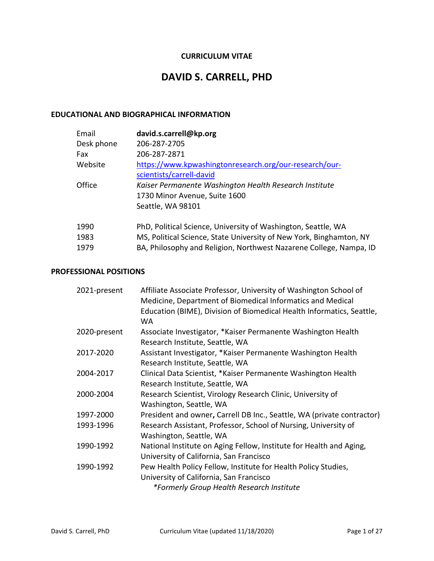### **CURRICULUM VITAE**

# **DAVID S. CARRELL, PHD**

### **EDUCATIONAL AND BIOGRAPHICAL INFORMATION**

| Email      | david.s.carrell@kp.org                                              |
|------------|---------------------------------------------------------------------|
| Desk phone | 206-287-2705                                                        |
| Fax        | 206-287-2871                                                        |
| Website    | https://www.kpwashingtonresearch.org/our-research/our-              |
|            | scientists/carrell-david                                            |
| Office     | Kaiser Permanente Washington Health Research Institute              |
|            | 1730 Minor Avenue, Suite 1600                                       |
|            | Seattle, WA 98101                                                   |
| 1990       | PhD, Political Science, University of Washington, Seattle, WA       |
| 1983       | MS, Political Science, State University of New York, Binghamton, NY |
| 1979       | BA, Philosophy and Religion, Northwest Nazarene College, Nampa, ID  |

#### **PROFESSIONAL POSITIONS**

| 2021-present | Affiliate Associate Professor, University of Washington School of      |
|--------------|------------------------------------------------------------------------|
|              | Medicine, Department of Biomedical Informatics and Medical             |
|              | Education (BIME), Division of Biomedical Health Informatics, Seattle,  |
|              | <b>WA</b>                                                              |
| 2020-present | Associate Investigator, *Kaiser Permanente Washington Health           |
|              | Research Institute, Seattle, WA                                        |
| 2017-2020    | Assistant Investigator, *Kaiser Permanente Washington Health           |
|              | Research Institute, Seattle, WA                                        |
| 2004-2017    | Clinical Data Scientist, *Kaiser Permanente Washington Health          |
|              | Research Institute, Seattle, WA                                        |
| 2000-2004    | Research Scientist, Virology Research Clinic, University of            |
|              | Washington, Seattle, WA                                                |
| 1997-2000    | President and owner, Carrell DB Inc., Seattle, WA (private contractor) |
| 1993-1996    | Research Assistant, Professor, School of Nursing, University of        |
|              | Washington, Seattle, WA                                                |
| 1990-1992    | National Institute on Aging Fellow, Institute for Health and Aging,    |
|              | University of California, San Francisco                                |
| 1990-1992    | Pew Health Policy Fellow, Institute for Health Policy Studies,         |
|              | University of California, San Francisco                                |
|              | *Formerly Group Health Research Institute                              |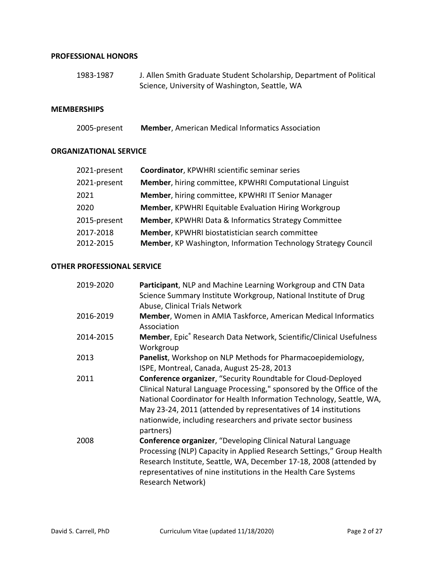### **PROFESSIONAL HONORS**

1983-1987 J. Allen Smith Graduate Student Scholarship, Department of Political Science, University of Washington, Seattle, WA

# **MEMBERSHIPS**

2005-present **Member**, American Medical Informatics Association

### **ORGANIZATIONAL SERVICE**

| 2021-present | Coordinator, KPWHRI scientific seminar series                   |
|--------------|-----------------------------------------------------------------|
| 2021-present | Member, hiring committee, KPWHRI Computational Linguist         |
| 2021         | Member, hiring committee, KPWHRI IT Senior Manager              |
| 2020         | Member, KPWHRI Equitable Evaluation Hiring Workgroup            |
| 2015-present | <b>Member, KPWHRI Data &amp; Informatics Strategy Committee</b> |
| 2017-2018    | Member, KPWHRI biostatistician search committee                 |
| 2012-2015    | Member, KP Washington, Information Technology Strategy Council  |

### **OTHER PROFESSIONAL SERVICE**

| 2019-2020 | Participant, NLP and Machine Learning Workgroup and CTN Data                                                                                                                                                                                                                                                                                                           |
|-----------|------------------------------------------------------------------------------------------------------------------------------------------------------------------------------------------------------------------------------------------------------------------------------------------------------------------------------------------------------------------------|
|           | Science Summary Institute Workgroup, National Institute of Drug<br>Abuse, Clinical Trials Network                                                                                                                                                                                                                                                                      |
| 2016-2019 | Member, Women in AMIA Taskforce, American Medical Informatics<br>Association                                                                                                                                                                                                                                                                                           |
| 2014-2015 | Member, Epic® Research Data Network, Scientific/Clinical Usefulness<br>Workgroup                                                                                                                                                                                                                                                                                       |
| 2013      | Panelist, Workshop on NLP Methods for Pharmacoepidemiology,<br>ISPE, Montreal, Canada, August 25-28, 2013                                                                                                                                                                                                                                                              |
| 2011      | <b>Conference organizer, "Security Roundtable for Cloud-Deployed</b><br>Clinical Natural Language Processing," sponsored by the Office of the<br>National Coordinator for Health Information Technology, Seattle, WA,<br>May 23-24, 2011 (attended by representatives of 14 institutions<br>nationwide, including researchers and private sector business<br>partners) |
| 2008      | Conference organizer, "Developing Clinical Natural Language<br>Processing (NLP) Capacity in Applied Research Settings," Group Health<br>Research Institute, Seattle, WA, December 17-18, 2008 (attended by<br>representatives of nine institutions in the Health Care Systems<br>Research Network)                                                                     |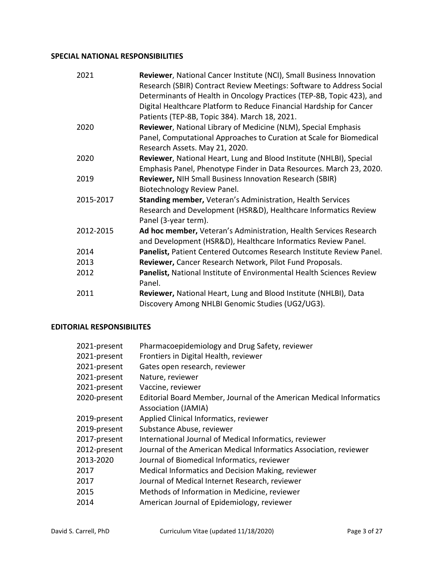# **SPECIAL NATIONAL RESPONSIBILITIES**

| 2021      | Reviewer, National Cancer Institute (NCI), Small Business Innovation  |
|-----------|-----------------------------------------------------------------------|
|           | Research (SBIR) Contract Review Meetings: Software to Address Social  |
|           | Determinants of Health in Oncology Practices (TEP-8B, Topic 423), and |
|           | Digital Healthcare Platform to Reduce Financial Hardship for Cancer   |
|           | Patients (TEP-8B, Topic 384). March 18, 2021.                         |
| 2020      | Reviewer, National Library of Medicine (NLM), Special Emphasis        |
|           | Panel, Computational Approaches to Curation at Scale for Biomedical   |
|           | Research Assets. May 21, 2020.                                        |
| 2020      | Reviewer, National Heart, Lung and Blood Institute (NHLBI), Special   |
|           | Emphasis Panel, Phenotype Finder in Data Resources. March 23, 2020.   |
| 2019      | <b>Reviewer, NIH Small Business Innovation Research (SBIR)</b>        |
|           | Biotechnology Review Panel.                                           |
| 2015-2017 | Standing member, Veteran's Administration, Health Services            |
|           | Research and Development (HSR&D), Healthcare Informatics Review       |
|           | Panel (3-year term).                                                  |
| 2012-2015 | Ad hoc member, Veteran's Administration, Health Services Research     |
|           | and Development (HSR&D), Healthcare Informatics Review Panel.         |
| 2014      | Panelist, Patient Centered Outcomes Research Institute Review Panel.  |
| 2013      | Reviewer, Cancer Research Network, Pilot Fund Proposals.              |
| 2012      | Panelist, National Institute of Environmental Health Sciences Review  |
|           | Panel.                                                                |
| 2011      | Reviewer, National Heart, Lung and Blood Institute (NHLBI), Data      |
|           | Discovery Among NHLBI Genomic Studies (UG2/UG3).                      |

### **EDITORIAL RESPONSIBILITES**

| 2021-present | Pharmacoepidemiology and Drug Safety, reviewer                      |
|--------------|---------------------------------------------------------------------|
| 2021-present | Frontiers in Digital Health, reviewer                               |
| 2021-present | Gates open research, reviewer                                       |
| 2021-present | Nature, reviewer                                                    |
| 2021-present | Vaccine, reviewer                                                   |
| 2020-present | Editorial Board Member, Journal of the American Medical Informatics |
|              | <b>Association (JAMIA)</b>                                          |
| 2019-present | Applied Clinical Informatics, reviewer                              |
| 2019-present | Substance Abuse, reviewer                                           |
| 2017-present | International Journal of Medical Informatics, reviewer              |
| 2012-present | Journal of the American Medical Informatics Association, reviewer   |
| 2013-2020    | Journal of Biomedical Informatics, reviewer                         |
| 2017         | Medical Informatics and Decision Making, reviewer                   |
| 2017         | Journal of Medical Internet Research, reviewer                      |
| 2015         | Methods of Information in Medicine, reviewer                        |
| 2014         | American Journal of Epidemiology, reviewer                          |
|              |                                                                     |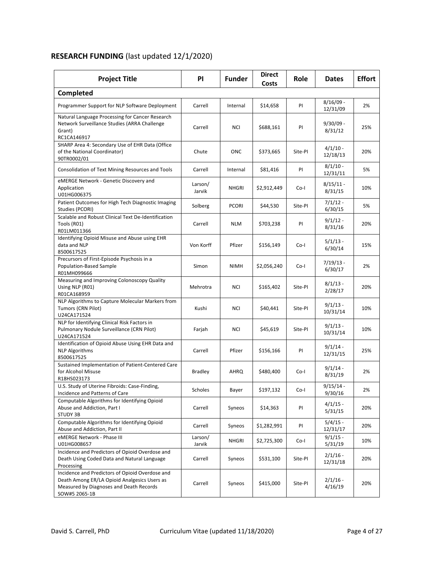# **RESEARCH FUNDING** (last updated 12/1/2020)

| <b>Project Title</b>                                                                                                                                        | PI                | <b>Funder</b> | <b>Direct</b><br>Costs | Role    | <b>Dates</b>            | <b>Effort</b> |
|-------------------------------------------------------------------------------------------------------------------------------------------------------------|-------------------|---------------|------------------------|---------|-------------------------|---------------|
| Completed                                                                                                                                                   |                   |               |                        |         |                         |               |
| Programmer Support for NLP Software Deployment                                                                                                              | Carrell           | Internal      | \$14,658               | PI      | $8/16/09 -$<br>12/31/09 | 2%            |
| Natural Language Processing for Cancer Research<br>Network Surveillance Studies (ARRA Challenge<br>Grant)<br>RC1CA146917                                    | Carrell           | NCI           | \$688,161              | PI      | $9/30/09 -$<br>8/31/12  | 25%           |
| SHARP Area 4: Secondary Use of EHR Data (Office<br>of the National Coordinator)<br>90TR0002/01                                                              | Chute             | <b>ONC</b>    | \$373,665              | Site-PI | $4/1/10 -$<br>12/18/13  | 20%           |
| Consolidation of Text Mining Resources and Tools                                                                                                            | Carrell           | Internal      | \$81,416               | PI      | $8/1/10 -$<br>12/31/11  | 5%            |
| eMERGE Network - Genetic Discovery and<br>Application<br>U01HG006375                                                                                        | Larson/<br>Jarvik | <b>NHGRI</b>  | \$2,912,449            | Co-I    | $8/15/11$ -<br>8/31/15  | 10%           |
| Patient Outcomes for High Tech Diagnostic Imaging<br>Studies (PCORI)                                                                                        | Solberg           | <b>PCORI</b>  | \$44,530               | Site-PI | $7/1/12 -$<br>6/30/15   | 5%            |
| Scalable and Robust Clinical Text De-Identification<br>Tools (R01)<br>R01LM011366                                                                           | Carrell           | <b>NLM</b>    | \$703,238              | PI      | $9/1/12 -$<br>8/31/16   | 20%           |
| Identifying Opioid Misuse and Abuse using EHR<br>data and NLP<br>8500617525                                                                                 | Von Korff         | Pfizer        | \$156,149              | Co-I    | $5/1/13 -$<br>6/30/14   | 15%           |
| Precursors of First-Episode Psychosis in a<br>Population-Based Sample<br>R01MH099666                                                                        | Simon             | <b>NIMH</b>   | \$2,056,240            | Co-I    | $7/19/13 -$<br>6/30/17  | 2%            |
| Measuring and Improving Colonoscopy Quality<br>Using NLP (R01)<br>R01CA168959                                                                               | Mehrotra          | <b>NCI</b>    | \$165,402              | Site-PI | $8/1/13$ -<br>2/28/17   | 20%           |
| NLP Algorithms to Capture Molecular Markers from<br>Tumors (CRN Pilot)<br>U24CA171524                                                                       | Kushi             | <b>NCI</b>    | \$40,441               | Site-PI | $9/1/13 -$<br>10/31/14  | 10%           |
| NLP for Identifying Clinical Risk Factors in<br>Pulmonary Nodule Surveillance (CRN Pilot)<br>U24CA171524                                                    | Farjah            | NCI           | \$45,619               | Site-PI | $9/1/13 -$<br>10/31/14  | 10%           |
| Identification of Opioid Abuse Using EHR Data and<br><b>NLP Algorithms</b><br>8500617525                                                                    | Carrell           | Pfizer        | \$156,166              | PI      | $9/1/14 -$<br>12/31/15  | 25%           |
| Sustained Implementation of Patient-Centered Care<br>for Alcohol Misuse<br>R18HS023173                                                                      | Bradley           | AHRQ          | \$480,400              | Co-I    | $9/1/14 -$<br>8/31/19   | 2%            |
| U.S. Study of Uterine Fibroids: Case-Finding,<br>Incidence and Patterns of Care                                                                             | Scholes           | Bayer         | \$197,132              | $Co-I$  | $9/15/14 -$<br>9/30/16  | 2%            |
| Computable Algorithms for Identifying Opioid<br>Abuse and Addiction, Part I<br><b>STUDY 3B</b>                                                              | Carrell           | Syneos        | \$14,363               | PI      | $4/1/15 -$<br>5/31/15   | 20%           |
| Computable Algorithms for Identifying Opioid<br>Abuse and Addiction, Part II                                                                                | Carrell           | Syneos        | \$1,282,991            | PI      | $5/4/15 -$<br>12/31/17  | 20%           |
| eMERGE Network - Phase III<br>U01HG008657                                                                                                                   | Larson/<br>Jarvik | <b>NHGRI</b>  | \$2,725,300            | $Co-I$  | $9/1/15 -$<br>5/31/19   | 10%           |
| Incidence and Predictors of Opioid Overdose and<br>Death Using Coded Data and Natural Language<br>Processing                                                | Carrell           | Syneos        | \$531,100              | Site-PI | $2/1/16 -$<br>12/31/18  | 20%           |
| Incidence and Predictors of Opioid Overdose and<br>Death Among ER/LA Opioid Analgesics Users as<br>Measured by Diagnoses and Death Records<br>SOW#5 2065-1B | Carrell           | Syneos        | \$415,000              | Site-PI | $2/1/16 -$<br>4/16/19   | 20%           |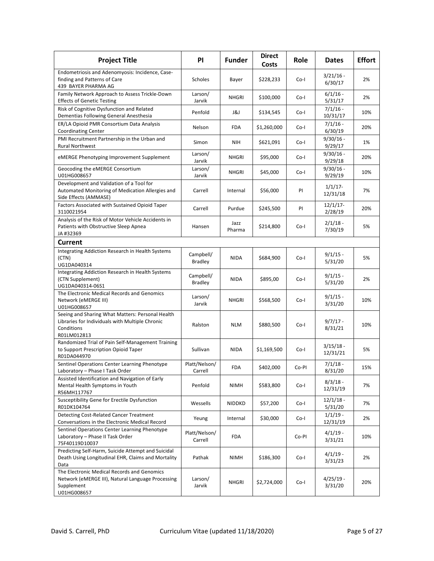| <b>Project Title</b>                                                                                                             | PI                          | <b>Funder</b>  | <b>Direct</b><br>Costs | Role   | <b>Dates</b>            | <b>Effort</b> |
|----------------------------------------------------------------------------------------------------------------------------------|-----------------------------|----------------|------------------------|--------|-------------------------|---------------|
| Endometriosis and Adenomyosis: Incidence, Case-<br>finding and Patterns of Care<br>439 BAYER PHARMA AG                           | Scholes                     | Bayer          | \$228,233              | $Co-I$ | $3/21/16$ -<br>6/30/17  | 2%            |
| Family Network Approach to Assess Trickle-Down<br><b>Effects of Genetic Testing</b>                                              | Larson/<br>Jarvik           | <b>NHGRI</b>   | \$100,000              | Co-I   | $6/1/16$ -<br>5/31/17   | 2%            |
| Risk of Cognitive Dysfunction and Related<br>Dementias Following General Anesthesia                                              | Penfold                     | J&J            | \$134,545              | Co-I   | $7/1/16 -$<br>10/31/17  | 10%           |
| ER/LA Opioid PMR Consortium Data Analysis<br><b>Coordinating Center</b>                                                          | Nelson                      | <b>FDA</b>     | \$1,260,000            | Co-I   | $7/1/16 -$<br>6/30/19   | 20%           |
| PMI Recruitment Partnership in the Urban and<br><b>Rural Northwest</b>                                                           | Simon                       | <b>NIH</b>     | \$621,091              | Co-I   | $9/30/16 -$<br>9/29/17  | 1%            |
| eMERGE Phenotyping Improvement Supplement                                                                                        | Larson/<br>Jarvik           | <b>NHGRI</b>   | \$95,000               | Co-I   | $9/30/16 -$<br>9/29/18  | 20%           |
| Geocoding the eMERGE Consortium<br>U01HG008657                                                                                   | Larson/<br>Jarvik           | NHGRI          | \$45,000               | Co-I   | $9/30/16 -$<br>9/29/19  | 10%           |
| Development and Validation of a Tool for<br>Automated Monitoring of Medication Allergies and<br>Side Effects (AMMASE)            | Carrell                     | Internal       | \$56,000               | PI     | $1/1/17$ -<br>12/31/18  | 7%            |
| Factors Associated with Sustained Opioid Taper<br>3110021954                                                                     | Carrell                     | Purdue         | \$245,500              | PI     | $12/1/17$ -<br>2/28/19  | 20%           |
| Analysis of the Risk of Motor Vehicle Accidents in<br>Patients with Obstructive Sleep Apnea<br>JA #32369                         | Hansen                      | Jazz<br>Pharma | \$214,800              | Co-I   | $2/1/18 -$<br>7/30/19   | 5%            |
| <b>Current</b>                                                                                                                   |                             |                |                        |        |                         |               |
| Integrating Addiction Research in Health Systems<br>(CTN)<br>UG1DA040314                                                         | Campbell/<br><b>Bradley</b> | <b>NIDA</b>    | \$684,900              | Co-I   | $9/1/15 -$<br>5/31/20   | 5%            |
| Integrating Addiction Research in Health Systems<br>(CTN Supplement)<br>UG1DA040314-06S1                                         | Campbell/<br><b>Bradley</b> | <b>NIDA</b>    | \$895,00               | Co-I   | $9/1/15 -$<br>5/31/20   | 2%            |
| The Electronic Medical Records and Genomics<br>Network (eMERGE III)<br>U01HG008657                                               | Larson/<br>Jarvik           | <b>NHGRI</b>   | \$568,500              | Co-I   | $9/1/15 -$<br>3/31/20   | 10%           |
| Seeing and Sharing What Matters: Personal Health<br>Libraries for Individuals with Multiple Chronic<br>Conditions<br>R01LM012813 | Ralston                     | <b>NLM</b>     | \$880,500              | Co-I   | $9/7/17 -$<br>8/31/21   | 10%           |
| Randomized Trial of Pain Self-Management Training<br>to Support Prescription Opioid Taper<br>R01DA044970                         | Sullivan                    | <b>NIDA</b>    | \$1,169,500            | Co-I   | $3/15/18$ -<br>12/31/21 | 5%            |
| Sentinel Operations Center Learning Phenotype<br>Laboratory - Phase I Task Order                                                 | Platt/Nelson/<br>Carrell    | <b>FDA</b>     | \$402,000              | Co-PI  | $7/1/18 -$<br>8/31/20   | 15%           |
| Assisted Identification and Navigation of Early<br>Mental Health Symptoms in Youth<br>R56MH117767                                | Penfold                     | <b>NIMH</b>    | \$583,800              | $Co-I$ | $8/3/18 -$<br>12/31/19  | 7%            |
| Susceptibility Gene for Erectile Dysfunction<br>R01DK104764                                                                      | Wessells                    | <b>NIDDKD</b>  | \$57,200               | Co-I   | $12/1/18$ -<br>5/31/20  | 7%            |
| Detecting Cost-Related Cancer Treatment<br>Conversations in the Electronic Medical Record                                        | Yeung                       | Internal       | \$30,000               | $Co-I$ | $1/1/19$ -<br>12/31/19  | 2%            |
| Sentinel Operations Center Learning Phenotype<br>Laboratory - Phase II Task Order<br>75F40119D10037                              | Platt/Nelson/<br>Carrell    | <b>FDA</b>     |                        | Co-PI  | $4/1/19$ -<br>3/31/21   | 10%           |
| Predicting Self-Harm, Suicide Attempt and Suicidal<br>Death Using Longitudinal EHR, Claims and Mortality<br>Data                 | Pathak                      | <b>NIMH</b>    | \$186,300              | $Co-I$ | $4/1/19$ -<br>3/31/23   | 2%            |
| The Electronic Medical Records and Genomics<br>Network (eMERGE III), Natural Language Processing<br>Supplement<br>U01HG008657    | Larson/<br>Jarvik           | <b>NHGRI</b>   | \$2,724,000            | $Co-I$ | 4/25/19 -<br>3/31/20    | 20%           |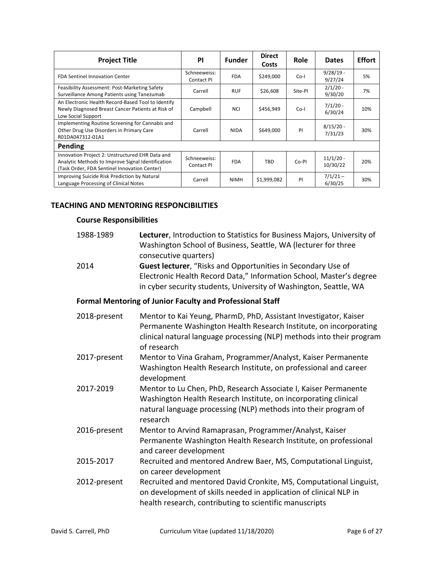| <b>Project Title</b>                                                                                                                                 | ΡI                         | <b>Funder</b> | <b>Direct</b><br>Costs | Role    | <b>Dates</b>            | <b>Effort</b> |
|------------------------------------------------------------------------------------------------------------------------------------------------------|----------------------------|---------------|------------------------|---------|-------------------------|---------------|
| <b>FDA Sentinel Innovation Center</b>                                                                                                                | Schneeweiss:<br>Contact PI | <b>FDA</b>    | \$249,000              | $Co-I$  | $9/28/19$ -<br>9/27/24  | 5%            |
| <b>Feasibility Assessment: Post-Marketing Safety</b><br>Surveillance Among Patients using Tanezumab                                                  | Carrell                    | <b>RUF</b>    | \$26,608               | Site-PI | $2/1/20 -$<br>9/30/20   | 7%            |
| An Electronic Health Record-Based Tool to Identify<br>Newly Diagnosed Breast Cancer Patients at Risk of<br>Low Social Support                        | Campbell                   | <b>NCI</b>    | \$456,949              | $Co-I$  | $7/1/20 -$<br>6/30/24   | 10%           |
| Implementing Routine Screening for Cannabis and<br>Other Drug Use Disorders in Primary Care<br>R01DA047312-01A1                                      | Carrell                    | <b>NIDA</b>   | \$649,000              | PI      | $8/15/20 -$<br>7/31/23  | 30%           |
| Pending                                                                                                                                              |                            |               |                        |         |                         |               |
| Innovation Project 2: Unstructured EHR Data and<br>Analytic Methods to Improve Signal Identification<br>(Task Order, FDA Sentinel Innovation Center) | Schneeweiss:<br>Contact PI | <b>FDA</b>    | <b>TBD</b>             | Co-PI   | $11/1/20$ -<br>10/30/22 | 20%           |
| Improving Suicide Risk Prediction by Natural<br>Language Processing of Clinical Notes                                                                | Carrell                    | <b>NIMH</b>   | \$1,999,082            | PI      | $7/1/21 -$<br>6/30/25   | 30%           |

# **TEACHING AND MENTORING RESPONCIBILITIES**

# **Course Responsibilities**

| 1988-1989    | Lecturer, Introduction to Statistics for Business Majors, University of<br>Washington School of Business, Seattle, WA (lecturer for three<br>consecutive quarters)                                                            |
|--------------|-------------------------------------------------------------------------------------------------------------------------------------------------------------------------------------------------------------------------------|
| 2014         | Guest lecturer, "Risks and Opportunities in Secondary Use of<br>Electronic Health Record Data," Information School, Master's degree<br>in cyber security students, University of Washington, Seattle, WA                      |
|              | Formal Mentoring of Junior Faculty and Professional Staff                                                                                                                                                                     |
| 2018-present | Mentor to Kai Yeung, PharmD, PhD, Assistant Investigator, Kaiser<br>Permanente Washington Health Research Institute, on incorporating<br>clinical natural language processing (NLP) methods into their program<br>of research |
| 2017-present | Mentor to Vina Graham, Programmer/Analyst, Kaiser Permanente<br>Washington Health Research Institute, on professional and career<br>development                                                                               |
| 2017-2019    | Mentor to Lu Chen, PhD, Research Associate I, Kaiser Permanente<br>Washington Health Research Institute, on incorporating clinical<br>natural language processing (NLP) methods into their program of<br>research             |
| 2016-present | Mentor to Arvind Ramaprasan, Programmer/Analyst, Kaiser<br>Permanente Washington Health Research Institute, on professional<br>and career development                                                                         |
| 2015-2017    | Recruited and mentored Andrew Baer, MS, Computational Linguist,<br>on career development                                                                                                                                      |
| 2012-present | Recruited and mentored David Cronkite, MS, Computational Linguist,<br>on development of skills needed in application of clinical NLP in<br>health research, contributing to scientific manuscripts                            |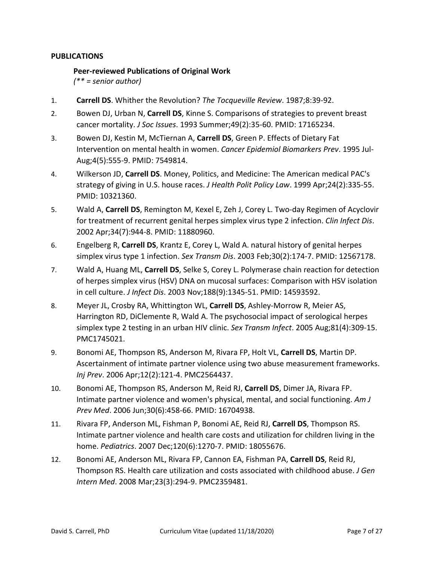### **PUBLICATIONS**

### **Peer-reviewed Publications of Original Work**

*(\*\* = senior author)*

- 1. **Carrell DS**. Whither the Revolution? *The Tocqueville Review*. 1987;8:39-92.
- 2. Bowen DJ, Urban N, **Carrell DS**, Kinne S. Comparisons of strategies to prevent breast cancer mortality. *J Soc Issues*. 1993 Summer;49(2):35-60. PMID: 17165234.
- 3. Bowen DJ, Kestin M, McTiernan A, **Carrell DS**, Green P. Effects of Dietary Fat Intervention on mental health in women. *Cancer Epidemiol Biomarkers Prev*. 1995 Jul-Aug;4(5):555-9. PMID: 7549814.
- 4. Wilkerson JD, **Carrell DS**. Money, Politics, and Medicine: The American medical PAC's strategy of giving in U.S. house races. *J Health Polit Policy Law*. 1999 Apr;24(2):335-55. PMID: 10321360.
- 5. Wald A, **Carrell DS**, Remington M, Kexel E, Zeh J, Corey L. Two-day Regimen of Acyclovir for treatment of recurrent genital herpes simplex virus type 2 infection. *Clin Infect Dis*. 2002 Apr;34(7):944-8. PMID: 11880960.
- 6. Engelberg R, **Carrell DS**, Krantz E, Corey L, Wald A. natural history of genital herpes simplex virus type 1 infection. *Sex Transm Dis*. 2003 Feb;30(2):174-7. PMID: 12567178.
- 7. Wald A, Huang ML, **Carrell DS**, Selke S, Corey L. Polymerase chain reaction for detection of herpes simplex virus (HSV) DNA on mucosal surfaces: Comparison with HSV isolation in cell culture. *J Infect Dis*. 2003 Nov;188(9):1345-51. PMID: 14593592.
- 8. Meyer JL, Crosby RA, Whittington WL, **Carrell DS**, Ashley-Morrow R, Meier AS, Harrington RD, DiClemente R, Wald A. The psychosocial impact of serological herpes simplex type 2 testing in an urban HIV clinic. *Sex Transm Infect*. 2005 Aug;81(4):309-15. PMC1745021.
- 9. Bonomi AE, Thompson RS, Anderson M, Rivara FP, Holt VL, **Carrell DS**, Martin DP. Ascertainment of intimate partner violence using two abuse measurement frameworks. *Inj Prev*. 2006 Apr;12(2):121-4. PMC2564437.
- 10. Bonomi AE, Thompson RS, Anderson M, Reid RJ, **Carrell DS**, Dimer JA, Rivara FP. Intimate partner violence and women's physical, mental, and social functioning. *Am J Prev Med*. 2006 Jun;30(6):458-66. PMID: 16704938.
- 11. Rivara FP, Anderson ML, Fishman P, Bonomi AE, Reid RJ, **Carrell DS**, Thompson RS. Intimate partner violence and health care costs and utilization for children living in the home. *Pediatrics*. 2007 Dec;120(6):1270-7. PMID: 18055676.
- 12. Bonomi AE, Anderson ML, Rivara FP, Cannon EA, Fishman PA, **Carrell DS**, Reid RJ, Thompson RS. Health care utilization and costs associated with childhood abuse. *J Gen Intern Med*. 2008 Mar;23(3):294-9. PMC2359481.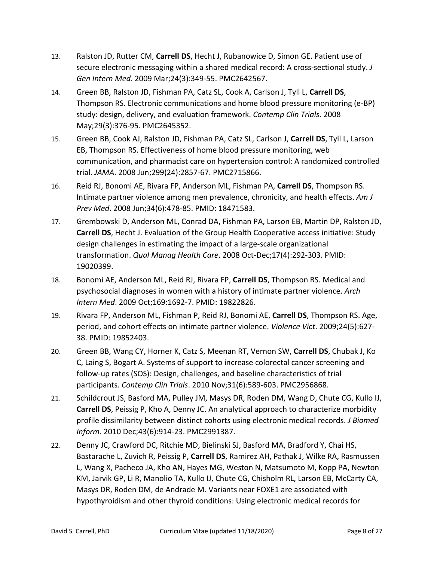- 13. Ralston JD, Rutter CM, **Carrell DS**, Hecht J, Rubanowice D, Simon GE. Patient use of secure electronic messaging within a shared medical record: A cross-sectional study. *J Gen Intern Med*. 2009 Mar;24(3):349-55. PMC2642567.
- 14. Green BB, Ralston JD, Fishman PA, Catz SL, Cook A, Carlson J, Tyll L, **Carrell DS**, Thompson RS. Electronic communications and home blood pressure monitoring (e-BP) study: design, delivery, and evaluation framework. *Contemp Clin Trials*. 2008 May;29(3):376-95. PMC2645352.
- 15. Green BB, Cook AJ, Ralston JD, Fishman PA, Catz SL, Carlson J, **Carrell DS**, Tyll L, Larson EB, Thompson RS. Effectiveness of home blood pressure monitoring, web communication, and pharmacist care on hypertension control: A randomized controlled trial. *JAMA*. 2008 Jun;299(24):2857-67. PMC2715866.
- 16. Reid RJ, Bonomi AE, Rivara FP, Anderson ML, Fishman PA, **Carrell DS**, Thompson RS. Intimate partner violence among men prevalence, chronicity, and health effects. *Am J Prev Med*. 2008 Jun;34(6):478-85. PMID: 18471583.
- 17. Grembowski D, Anderson ML, Conrad DA, Fishman PA, Larson EB, Martin DP, Ralston JD, **Carrell DS**, Hecht J. Evaluation of the Group Health Cooperative access initiative: Study design challenges in estimating the impact of a large-scale organizational transformation. *Qual Manag Health Care*. 2008 Oct-Dec;17(4):292-303. PMID: 19020399.
- 18. Bonomi AE, Anderson ML, Reid RJ, Rivara FP, **Carrell DS**, Thompson RS. Medical and psychosocial diagnoses in women with a history of intimate partner violence. *Arch Intern Med*. 2009 Oct;169:1692-7. PMID: 19822826.
- 19. Rivara FP, Anderson ML, Fishman P, Reid RJ, Bonomi AE, **Carrell DS**, Thompson RS. Age, period, and cohort effects on intimate partner violence. *Violence Vict*. 2009;24(5):627- 38. PMID: 19852403.
- 20. Green BB, Wang CY, Horner K, Catz S, Meenan RT, Vernon SW, **Carrell DS**, Chubak J, Ko C, Laing S, Bogart A. Systems of support to increase colorectal cancer screening and follow-up rates (SOS): Design, challenges, and baseline characteristics of trial participants. *Contemp Clin Trials*. 2010 Nov;31(6):589-603. PMC2956868.
- 21. Schildcrout JS, Basford MA, Pulley JM, Masys DR, Roden DM, Wang D, Chute CG, Kullo IJ, **Carrell DS**, Peissig P, Kho A, Denny JC. An analytical approach to characterize morbidity profile dissimilarity between distinct cohorts using electronic medical records. *J Biomed Inform*. 2010 Dec;43(6):914-23. PMC2991387.
- 22. Denny JC, Crawford DC, Ritchie MD, Bielinski SJ, Basford MA, Bradford Y, Chai HS, Bastarache L, Zuvich R, Peissig P, **Carrell DS**, Ramirez AH, Pathak J, Wilke RA, Rasmussen L, Wang X, Pacheco JA, Kho AN, Hayes MG, Weston N, Matsumoto M, Kopp PA, Newton KM, Jarvik GP, Li R, Manolio TA, Kullo IJ, Chute CG, Chisholm RL, Larson EB, McCarty CA, Masys DR, Roden DM, de Andrade M. Variants near FOXE1 are associated with hypothyroidism and other thyroid conditions: Using electronic medical records for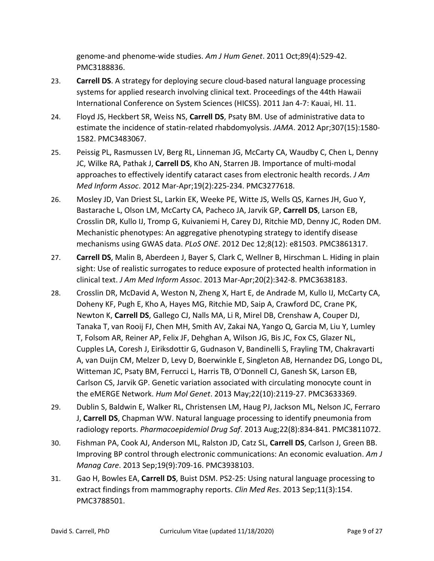genome-and phenome-wide studies. *Am J Hum Genet*. 2011 Oct;89(4):529-42. PMC3188836.

- 23. **Carrell DS**. A strategy for deploying secure cloud-based natural language processing systems for applied research involving clinical text. Proceedings of the 44th Hawaii International Conference on System Sciences (HICSS). 2011 Jan 4-7: Kauai, HI. 11.
- 24. Floyd JS, Heckbert SR, Weiss NS, **Carrell DS**, Psaty BM. Use of administrative data to estimate the incidence of statin-related rhabdomyolysis. *JAMA*. 2012 Apr;307(15):1580- 1582. PMC3483067.
- 25. Peissig PL, Rasmussen LV, Berg RL, Linneman JG, McCarty CA, Waudby C, Chen L, Denny JC, Wilke RA, Pathak J, **Carrell DS**, Kho AN, Starren JB. Importance of multi-modal approaches to effectively identify cataract cases from electronic health records. *J Am Med Inform Assoc*. 2012 Mar-Apr;19(2):225-234. PMC3277618.
- 26. Mosley JD, Van Driest SL, Larkin EK, Weeke PE, Witte JS, Wells QS, Karnes JH, Guo Y, Bastarache L, Olson LM, McCarty CA, Pacheco JA, Jarvik GP, **Carrell DS**, Larson EB, Crosslin DR, Kullo IJ, Tromp G, Kuivaniemi H, Carey DJ, Ritchie MD, Denny JC, Roden DM. Mechanistic phenotypes: An aggregative phenotyping strategy to identify disease mechanisms using GWAS data. *PLoS ONE*. 2012 Dec 12;8(12): e81503. PMC3861317.
- 27. **Carrell DS**, Malin B, Aberdeen J, Bayer S, Clark C, Wellner B, Hirschman L. Hiding in plain sight: Use of realistic surrogates to reduce exposure of protected health information in clinical text. *J Am Med Inform Assoc*. 2013 Mar-Apr;20(2):342-8. PMC3638183.
- 28. Crosslin DR, McDavid A, Weston N, Zheng X, Hart E, de Andrade M, Kullo IJ, McCarty CA, Doheny KF, Pugh E, Kho A, Hayes MG, Ritchie MD, Saip A, Crawford DC, Crane PK, Newton K, **Carrell DS**, Gallego CJ, Nalls MA, Li R, Mirel DB, Crenshaw A, Couper DJ, Tanaka T, van Rooij FJ, Chen MH, Smith AV, Zakai NA, Yango Q, Garcia M, Liu Y, Lumley T, Folsom AR, Reiner AP, Felix JF, Dehghan A, Wilson JG, Bis JC, Fox CS, Glazer NL, Cupples LA, Coresh J, Eiriksdottir G, Gudnason V, Bandinelli S, Frayling TM, Chakravarti A, van Duijn CM, Melzer D, Levy D, Boerwinkle E, Singleton AB, Hernandez DG, Longo DL, Witteman JC, Psaty BM, Ferrucci L, Harris TB, O'Donnell CJ, Ganesh SK, Larson EB, Carlson CS, Jarvik GP. Genetic variation associated with circulating monocyte count in the eMERGE Network. *Hum Mol Genet*. 2013 May;22(10):2119-27. PMC3633369.
- 29. Dublin S, Baldwin E, Walker RL, Christensen LM, Haug PJ, Jackson ML, Nelson JC, Ferraro J, **Carrell DS**, Chapman WW. Natural language processing to identify pneumonia from radiology reports. *Pharmacoepidemiol Drug Saf*. 2013 Aug;22(8):834-841. PMC3811072.
- 30. Fishman PA, Cook AJ, Anderson ML, Ralston JD, Catz SL, **Carrell DS**, Carlson J, Green BB. Improving BP control through electronic communications: An economic evaluation. *Am J Manag Care*. 2013 Sep;19(9):709-16. PMC3938103.
- 31. Gao H, Bowles EA, **Carrell DS**, Buist DSM. PS2-25: Using natural language processing to extract findings from mammography reports. *Clin Med Res*. 2013 Sep;11(3):154. PMC3788501.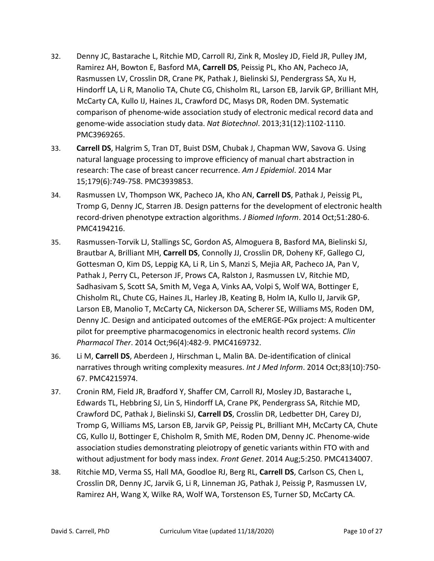- 32. Denny JC, Bastarache L, Ritchie MD, Carroll RJ, Zink R, Mosley JD, Field JR, Pulley JM, Ramirez AH, Bowton E, Basford MA, **Carrell DS**, Peissig PL, Kho AN, Pacheco JA, Rasmussen LV, Crosslin DR, Crane PK, Pathak J, Bielinski SJ, Pendergrass SA, Xu H, Hindorff LA, Li R, Manolio TA, Chute CG, Chisholm RL, Larson EB, Jarvik GP, Brilliant MH, McCarty CA, Kullo IJ, Haines JL, Crawford DC, Masys DR, Roden DM. Systematic comparison of phenome-wide association study of electronic medical record data and genome-wide association study data. *Nat Biotechnol*. 2013;31(12):1102-1110. PMC3969265.
- 33. **Carrell DS**, Halgrim S, Tran DT, Buist DSM, Chubak J, Chapman WW, Savova G. Using natural language processing to improve efficiency of manual chart abstraction in research: The case of breast cancer recurrence. *Am J Epidemiol*. 2014 Mar 15;179(6):749-758. PMC3939853.
- 34. Rasmussen LV, Thompson WK, Pacheco JA, Kho AN, **Carrell DS**, Pathak J, Peissig PL, Tromp G, Denny JC, Starren JB. Design patterns for the development of electronic health record-driven phenotype extraction algorithms. *J Biomed Inform*. 2014 Oct;51:280-6. PMC4194216.
- 35. Rasmussen-Torvik LJ, Stallings SC, Gordon AS, Almoguera B, Basford MA, Bielinski SJ, Brautbar A, Brilliant MH, **Carrell DS**, Connolly JJ, Crosslin DR, Doheny KF, Gallego CJ, Gottesman O, Kim DS, Leppig KA, Li R, Lin S, Manzi S, Mejia AR, Pacheco JA, Pan V, Pathak J, Perry CL, Peterson JF, Prows CA, Ralston J, Rasmussen LV, Ritchie MD, Sadhasivam S, Scott SA, Smith M, Vega A, Vinks AA, Volpi S, Wolf WA, Bottinger E, Chisholm RL, Chute CG, Haines JL, Harley JB, Keating B, Holm IA, Kullo IJ, Jarvik GP, Larson EB, Manolio T, McCarty CA, Nickerson DA, Scherer SE, Williams MS, Roden DM, Denny JC. Design and anticipated outcomes of the eMERGE-PGx project: A multicenter pilot for preemptive pharmacogenomics in electronic health record systems. *Clin Pharmacol Ther*. 2014 Oct;96(4):482-9. PMC4169732.
- 36. Li M, **Carrell DS**, Aberdeen J, Hirschman L, Malin BA. De-identification of clinical narratives through writing complexity measures. *Int J Med Inform*. 2014 Oct;83(10):750- 67. PMC4215974.
- 37. Cronin RM, Field JR, Bradford Y, Shaffer CM, Carroll RJ, Mosley JD, Bastarache L, Edwards TL, Hebbring SJ, Lin S, Hindorff LA, Crane PK, Pendergrass SA, Ritchie MD, Crawford DC, Pathak J, Bielinski SJ, **Carrell DS**, Crosslin DR, Ledbetter DH, Carey DJ, Tromp G, Williams MS, Larson EB, Jarvik GP, Peissig PL, Brilliant MH, McCarty CA, Chute CG, Kullo IJ, Bottinger E, Chisholm R, Smith ME, Roden DM, Denny JC. Phenome-wide association studies demonstrating pleiotropy of genetic variants within FTO with and without adjustment for body mass index. *Front Genet*. 2014 Aug;5:250. PMC4134007.
- 38. Ritchie MD, Verma SS, Hall MA, Goodloe RJ, Berg RL, **Carrell DS**, Carlson CS, Chen L, Crosslin DR, Denny JC, Jarvik G, Li R, Linneman JG, Pathak J, Peissig P, Rasmussen LV, Ramirez AH, Wang X, Wilke RA, Wolf WA, Torstenson ES, Turner SD, McCarty CA.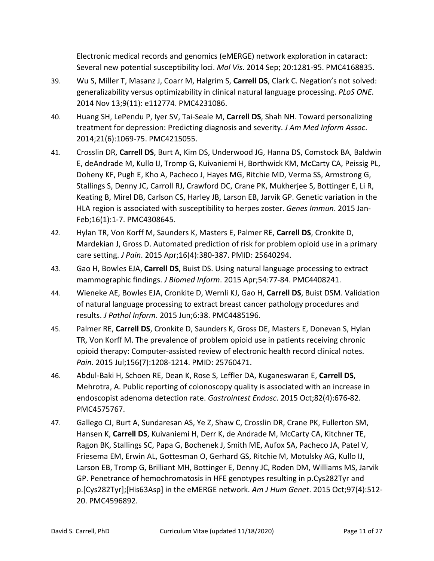Electronic medical records and genomics (eMERGE) network exploration in cataract: Several new potential susceptibility loci. *Mol Vis*. 2014 Sep; 20:1281-95. PMC4168835.

- 39. Wu S, Miller T, Masanz J, Coarr M, Halgrim S, **Carrell DS**, Clark C. Negation's not solved: generalizability versus optimizability in clinical natural language processing. *PLoS ONE*. 2014 Nov 13;9(11): e112774. PMC4231086.
- 40. Huang SH, LePendu P, Iyer SV, Tai-Seale M, **Carrell DS**, Shah NH. Toward personalizing treatment for depression: Predicting diagnosis and severity. *J Am Med Inform Assoc*. 2014;21(6):1069-75. PMC4215055.
- 41. Crosslin DR, **Carrell DS**, Burt A, Kim DS, Underwood JG, Hanna DS, Comstock BA, Baldwin E, deAndrade M, Kullo IJ, Tromp G, Kuivaniemi H, Borthwick KM, McCarty CA, Peissig PL, Doheny KF, Pugh E, Kho A, Pacheco J, Hayes MG, Ritchie MD, Verma SS, Armstrong G, Stallings S, Denny JC, Carroll RJ, Crawford DC, Crane PK, Mukherjee S, Bottinger E, Li R, Keating B, Mirel DB, Carlson CS, Harley JB, Larson EB, Jarvik GP. Genetic variation in the HLA region is associated with susceptibility to herpes zoster. *Genes Immun*. 2015 Jan-Feb;16(1):1-7. PMC4308645.
- 42. Hylan TR, Von Korff M, Saunders K, Masters E, Palmer RE, **Carrell DS**, Cronkite D, Mardekian J, Gross D. Automated prediction of risk for problem opioid use in a primary care setting. *J Pain*. 2015 Apr;16(4):380-387. PMID: 25640294.
- 43. Gao H, Bowles EJA, **Carrell DS**, Buist DS. Using natural language processing to extract mammographic findings. *J Biomed Inform*. 2015 Apr;54:77-84. PMC4408241.
- 44. Wieneke AE, Bowles EJA, Cronkite D, Wernli KJ, Gao H, **Carrell DS**, Buist DSM. Validation of natural language processing to extract breast cancer pathology procedures and results. *J Pathol Inform*. 2015 Jun;6:38. PMC4485196.
- 45. Palmer RE, **Carrell DS**, Cronkite D, Saunders K, Gross DE, Masters E, Donevan S, Hylan TR, Von Korff M. The prevalence of problem opioid use in patients receiving chronic opioid therapy: Computer-assisted review of electronic health record clinical notes. *Pain*. 2015 Jul;156(7):1208-1214. PMID: 25760471.
- 46. Abdul-Baki H, Schoen RE, Dean K, Rose S, Leffler DA, Kuganeswaran E, **Carrell DS**, Mehrotra, A. Public reporting of colonoscopy quality is associated with an increase in endoscopist adenoma detection rate. *Gastrointest Endosc*. 2015 Oct;82(4):676-82. PMC4575767.
- 47. Gallego CJ, Burt A, Sundaresan AS, Ye Z, Shaw C, Crosslin DR, Crane PK, Fullerton SM, Hansen K, **Carrell DS**, Kuivaniemi H, Derr K, de Andrade M, McCarty CA, Kitchner TE, Ragon BK, Stallings SC, Papa G, Bochenek J, Smith ME, Aufox SA, Pacheco JA, Patel V, Friesema EM, Erwin AL, Gottesman O, Gerhard GS, Ritchie M, Motulsky AG, Kullo IJ, Larson EB, Tromp G, Brilliant MH, Bottinger E, Denny JC, Roden DM, Williams MS, Jarvik GP. Penetrance of hemochromatosis in HFE genotypes resulting in p.Cys282Tyr and p.[Cys282Tyr];[His63Asp] in the eMERGE network. *Am J Hum Genet*. 2015 Oct;97(4):512- 20. PMC4596892.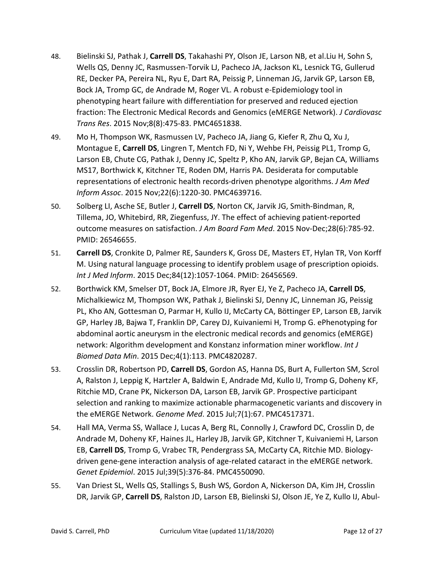- 48. Bielinski SJ, Pathak J, **Carrell DS**, Takahashi PY, Olson JE, Larson NB, et al.Liu H, Sohn S, Wells QS, Denny JC, Rasmussen-Torvik LJ, Pacheco JA, Jackson KL, Lesnick TG, Gullerud RE, Decker PA, Pereira NL, Ryu E, Dart RA, Peissig P, Linneman JG, Jarvik GP, Larson EB, Bock JA, Tromp GC, de Andrade M, Roger VL. A robust e-Epidemiology tool in phenotyping heart failure with differentiation for preserved and reduced ejection fraction: The Electronic Medical Records and Genomics (eMERGE Network). *J Cardiovasc Trans Res*. 2015 Nov;8(8):475-83. PMC4651838.
- 49. Mo H, Thompson WK, Rasmussen LV, Pacheco JA, Jiang G, Kiefer R, Zhu Q, Xu J, Montague E, **Carrell DS**, Lingren T, Mentch FD, Ni Y, Wehbe FH, Peissig PL1, Tromp G, Larson EB, Chute CG, Pathak J, Denny JC, Speltz P, Kho AN, Jarvik GP, Bejan CA, Williams MS17, Borthwick K, Kitchner TE, Roden DM, Harris PA. Desiderata for computable representations of electronic health records-driven phenotype algorithms. *J Am Med Inform Assoc*. 2015 Nov;22(6):1220-30. PMC4639716.
- 50. Solberg LI, Asche SE, Butler J, **Carrell DS**, Norton CK, Jarvik JG, Smith-Bindman, R, Tillema, JO, Whitebird, RR, Ziegenfuss, JY. The effect of achieving patient-reported outcome measures on satisfaction. *J Am Board Fam Med*. 2015 Nov-Dec;28(6):785-92. PMID: 26546655.
- 51. **Carrell DS**, Cronkite D, Palmer RE, Saunders K, Gross DE, Masters ET, Hylan TR, Von Korff M. Using natural language processing to identify problem usage of prescription opioids. *Int J Med Inform*. 2015 Dec;84(12):1057-1064. PMID: 26456569.
- 52. Borthwick KM, Smelser DT, Bock JA, Elmore JR, Ryer EJ, Ye Z, Pacheco JA, **Carrell DS**, Michalkiewicz M, Thompson WK, Pathak J, Bielinski SJ, Denny JC, Linneman JG, Peissig PL, Kho AN, Gottesman O, Parmar H, Kullo IJ, McCarty CA, Böttinger EP, Larson EB, Jarvik GP, Harley JB, Bajwa T, Franklin DP, Carey DJ, Kuivaniemi H, Tromp G. ePhenotyping for abdominal aortic aneurysm in the electronic medical records and genomics (eMERGE) network: Algorithm development and Konstanz information miner workflow. *Int J Biomed Data Min*. 2015 Dec;4(1):113. PMC4820287.
- 53. Crosslin DR, Robertson PD, **Carrell DS**, Gordon AS, Hanna DS, Burt A, Fullerton SM, Scrol A, Ralston J, Leppig K, Hartzler A, Baldwin E, Andrade Md, Kullo IJ, Tromp G, Doheny KF, Ritchie MD, Crane PK, Nickerson DA, Larson EB, Jarvik GP. Prospective participant selection and ranking to maximize actionable pharmacogenetic variants and discovery in the eMERGE Network. *Genome Med*. 2015 Jul;7(1):67. PMC4517371.
- 54. Hall MA, Verma SS, Wallace J, Lucas A, Berg RL, Connolly J, Crawford DC, Crosslin D, de Andrade M, Doheny KF, Haines JL, Harley JB, Jarvik GP, Kitchner T, Kuivaniemi H, Larson EB, **Carrell DS**, Tromp G, Vrabec TR, Pendergrass SA, McCarty CA, Ritchie MD. Biologydriven gene-gene interaction analysis of age-related cataract in the eMERGE network. *Genet Epidemiol*. 2015 Jul;39(5):376-84. PMC4550090.
- 55. Van Driest SL, Wells QS, Stallings S, Bush WS, Gordon A, Nickerson DA, Kim JH, Crosslin DR, Jarvik GP, **Carrell DS**, Ralston JD, Larson EB, Bielinski SJ, Olson JE, Ye Z, Kullo IJ, Abul-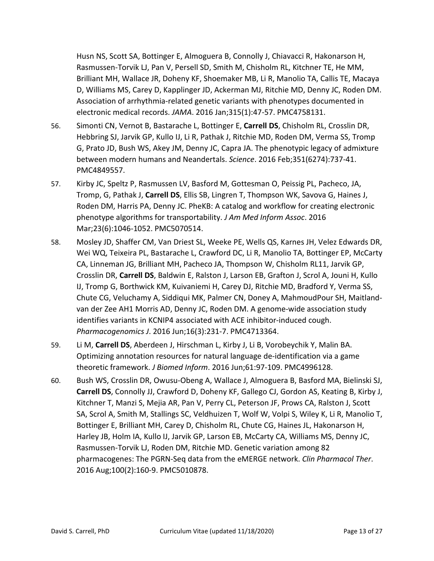Husn NS, Scott SA, Bottinger E, Almoguera B, Connolly J, Chiavacci R, Hakonarson H, Rasmussen-Torvik LJ, Pan V, Persell SD, Smith M, Chisholm RL, Kitchner TE, He MM, Brilliant MH, Wallace JR, Doheny KF, Shoemaker MB, Li R, Manolio TA, Callis TE, Macaya D, Williams MS, Carey D, Kapplinger JD, Ackerman MJ, Ritchie MD, Denny JC, Roden DM. Association of arrhythmia-related genetic variants with phenotypes documented in electronic medical records. *JAMA*. 2016 Jan;315(1):47-57. PMC4758131.

- 56. Simonti CN, Vernot B, Bastarache L, Bottinger E, **Carrell DS**, Chisholm RL, Crosslin DR, Hebbring SJ, Jarvik GP, Kullo IJ, Li R, Pathak J, Ritchie MD, Roden DM, Verma SS, Tromp G, Prato JD, Bush WS, Akey JM, Denny JC, Capra JA. The phenotypic legacy of admixture between modern humans and Neandertals. *Science*. 2016 Feb;351(6274):737-41. PMC4849557.
- 57. Kirby JC, Speltz P, Rasmussen LV, Basford M, Gottesman O, Peissig PL, Pacheco, JA, Tromp, G, Pathak J, **Carrell DS**, Ellis SB, Lingren T, Thompson WK, Savova G, Haines J, Roden DM, Harris PA, Denny JC. PheKB: A catalog and workflow for creating electronic phenotype algorithms for transportability. *J Am Med Inform Assoc*. 2016 Mar;23(6):1046-1052. PMC5070514.
- 58. Mosley JD, Shaffer CM, Van Driest SL, Weeke PE, Wells QS, Karnes JH, Velez Edwards DR, Wei WQ, Teixeira PL, Bastarache L, Crawford DC, Li R, Manolio TA, Bottinger EP, McCarty CA, Linneman JG, Brilliant MH, Pacheco JA, Thompson W, Chisholm RL11, Jarvik GP, Crosslin DR, **Carrell DS**, Baldwin E, Ralston J, Larson EB, Grafton J, Scrol A, Jouni H, Kullo IJ, Tromp G, Borthwick KM, Kuivaniemi H, Carey DJ, Ritchie MD, Bradford Y, Verma SS, Chute CG, Veluchamy A, Siddiqui MK, Palmer CN, Doney A, MahmoudPour SH, Maitlandvan der Zee AH1 Morris AD, Denny JC, Roden DM. A genome-wide association study identifies variants in KCNIP4 associated with ACE inhibitor-induced cough. *Pharmacogenomics J*. 2016 Jun;16(3):231-7. PMC4713364.
- 59. Li M, **Carrell DS**, Aberdeen J, Hirschman L, Kirby J, Li B, Vorobeychik Y, Malin BA. Optimizing annotation resources for natural language de-identification via a game theoretic framework. *J Biomed Inform*. 2016 Jun;61:97-109. PMC4996128.
- 60. Bush WS, Crosslin DR, Owusu-Obeng A, Wallace J, Almoguera B, Basford MA, Bielinski SJ, **Carrell DS**, Connolly JJ, Crawford D, Doheny KF, Gallego CJ, Gordon AS, Keating B, Kirby J, Kitchner T, Manzi S, Mejia AR, Pan V, Perry CL, Peterson JF, Prows CA, Ralston J, Scott SA, Scrol A, Smith M, Stallings SC, Veldhuizen T, Wolf W, Volpi S, Wiley K, Li R, Manolio T, Bottinger E, Brilliant MH, Carey D, Chisholm RL, Chute CG, Haines JL, Hakonarson H, Harley JB, Holm IA, Kullo IJ, Jarvik GP, Larson EB, McCarty CA, Williams MS, Denny JC, Rasmussen-Torvik LJ, Roden DM, Ritchie MD. Genetic variation among 82 pharmacogenes: The PGRN-Seq data from the eMERGE network. *Clin Pharmacol Ther*. 2016 Aug;100(2):160-9. PMC5010878.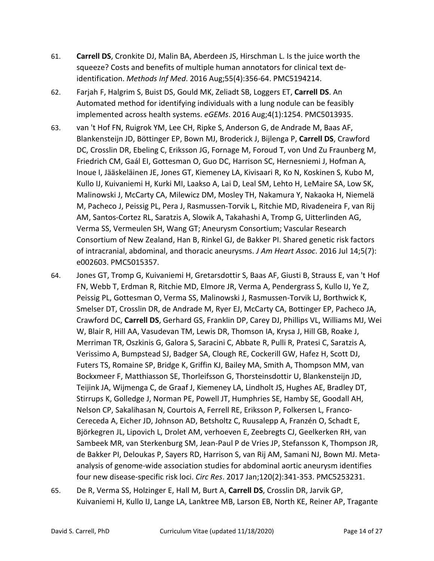- 61. **Carrell DS**, Cronkite DJ, Malin BA, Aberdeen JS, Hirschman L. Is the juice worth the squeeze? Costs and benefits of multiple human annotators for clinical text deidentification. *Methods Inf Med*. 2016 Aug;55(4):356-64. PMC5194214.
- 62. Farjah F, Halgrim S, Buist DS, Gould MK, Zeliadt SB, Loggers ET, **Carrell DS**. An Automated method for identifying individuals with a lung nodule can be feasibly implemented across health systems. *eGEMs*. 2016 Aug;4(1):1254. PMC5013935.
- 63. van 't Hof FN, Ruigrok YM, Lee CH, Ripke S, Anderson G, de Andrade M, Baas AF, Blankensteijn JD, Böttinger EP, Bown MJ, Broderick J, Bijlenga P, **Carrell DS**, Crawford DC, Crosslin DR, Ebeling C, Eriksson JG, Fornage M, Foroud T, von Und Zu Fraunberg M, Friedrich CM, Gaál EI, Gottesman O, Guo DC, Harrison SC, Hernesniemi J, Hofman A, Inoue I, Jääskeläinen JE, Jones GT, Kiemeney LA, Kivisaari R, Ko N, Koskinen S, Kubo M, Kullo IJ, Kuivaniemi H, Kurki MI, Laakso A, Lai D, Leal SM, Lehto H, LeMaire SA, Low SK, Malinowski J, McCarty CA, Milewicz DM, Mosley TH, Nakamura Y, Nakaoka H, Niemelä M, Pacheco J, Peissig PL, Pera J, Rasmussen-Torvik L, Ritchie MD, Rivadeneira F, van Rij AM, Santos-Cortez RL, Saratzis A, Slowik A, Takahashi A, Tromp G, Uitterlinden AG, Verma SS, Vermeulen SH, Wang GT; Aneurysm Consortium; Vascular Research Consortium of New Zealand, Han B, Rinkel GJ, de Bakker PI. Shared genetic risk factors of intracranial, abdominal, and thoracic aneurysms. *J Am Heart Assoc*. 2016 Jul 14;5(7): e002603. PMC5015357.
- 64. Jones GT, Tromp G, Kuivaniemi H, Gretarsdottir S, Baas AF, Giusti B, Strauss E, van 't Hof FN, Webb T, Erdman R, Ritchie MD, Elmore JR, Verma A, Pendergrass S, Kullo IJ, Ye Z, Peissig PL, Gottesman O, Verma SS, Malinowski J, Rasmussen-Torvik LJ, Borthwick K, Smelser DT, Crosslin DR, de Andrade M, Ryer EJ, McCarty CA, Bottinger EP, Pacheco JA, Crawford DC, **Carrell DS**, Gerhard GS, Franklin DP, Carey DJ, Phillips VL, Williams MJ, Wei W, Blair R, Hill AA, Vasudevan TM, Lewis DR, Thomson IA, Krysa J, Hill GB, Roake J, Merriman TR, Oszkinis G, Galora S, Saracini C, Abbate R, Pulli R, Pratesi C, Saratzis A, Verissimo A, Bumpstead SJ, Badger SA, Clough RE, Cockerill GW, Hafez H, Scott DJ, Futers TS, Romaine SP, Bridge K, Griffin KJ, Bailey MA, Smith A, Thompson MM, van Bockxmeer F, Matthiasson SE, Thorleifsson G, Thorsteinsdottir U, Blankensteijn JD, Teijink JA, Wijmenga C, de Graaf J, Kiemeney LA, Lindholt JS, Hughes AE, Bradley DT, Stirrups K, Golledge J, Norman PE, Powell JT, Humphries SE, Hamby SE, Goodall AH, Nelson CP, Sakalihasan N, Courtois A, Ferrell RE, Eriksson P, Folkersen L, Franco-Cereceda A, Eicher JD, Johnson AD, Betsholtz C, Ruusalepp A, Franzén O, Schadt E, Björkegren JL, Lipovich L, Drolet AM, verhoeven E, Zeebregts CJ, Geelkerken RH, van Sambeek MR, van Sterkenburg SM, Jean-Paul P de Vries JP, Stefansson K, Thompson JR, de Bakker PI, Deloukas P, Sayers RD, Harrison S, van Rij AM, Samani NJ, Bown MJ. Metaanalysis of genome-wide association studies for abdominal aortic aneurysm identifies four new disease-specific risk loci. *Circ Res*. 2017 Jan;120(2):341-353. PMC5253231.
- 65. De R, Verma SS, Holzinger E, Hall M, Burt A, **Carrell DS**, Crosslin DR, Jarvik GP, Kuivaniemi H, Kullo IJ, Lange LA, Lanktree MB, Larson EB, North KE, Reiner AP, Tragante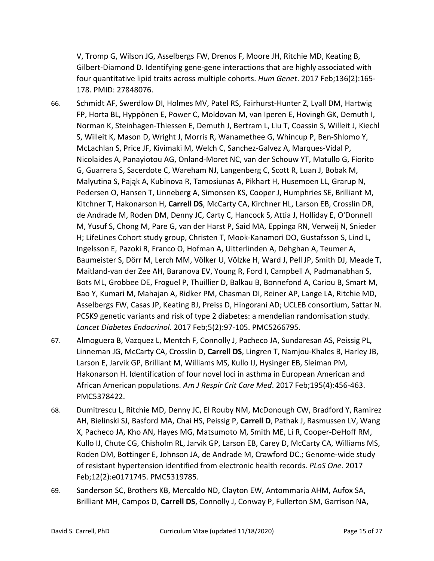V, Tromp G, Wilson JG, Asselbergs FW, Drenos F, Moore JH, Ritchie MD, Keating B, Gilbert-Diamond D. Identifying gene-gene interactions that are highly associated with four quantitative lipid traits across multiple cohorts. *Hum Genet*. 2017 Feb;136(2):165- 178. PMID: 27848076.

- 66. Schmidt AF, Swerdlow DI, Holmes MV, Patel RS, Fairhurst-Hunter Z, Lyall DM, Hartwig FP, Horta BL, Hyppönen E, Power C, Moldovan M, van Iperen E, Hovingh GK, Demuth I, Norman K, Steinhagen-Thiessen E, Demuth J, Bertram L, Liu T, Coassin S, Willeit J, Kiechl S, Willeit K, Mason D, Wright J, Morris R, Wanamethee G, Whincup P, Ben-Shlomo Y, McLachlan S, Price JF, Kivimaki M, Welch C, Sanchez-Galvez A, Marques-Vidal P, Nicolaides A, Panayiotou AG, Onland-Moret NC, van der Schouw YT, Matullo G, Fiorito G, Guarrera S, Sacerdote C, Wareham NJ, Langenberg C, Scott R, Luan J, Bobak M, Malyutina S, Pająk A, Kubinova R, Tamosiunas A, Pikhart H, Husemoen LL, Grarup N, Pedersen O, Hansen T, Linneberg A, Simonsen KS, Cooper J, Humphries SE, Brilliant M, Kitchner T, Hakonarson H, **Carrell DS**, McCarty CA, Kirchner HL, Larson EB, Crosslin DR, de Andrade M, Roden DM, Denny JC, Carty C, Hancock S, Attia J, Holliday E, O'Donnell M, Yusuf S, Chong M, Pare G, van der Harst P, Said MA, Eppinga RN, Verweij N, Snieder H; LifeLines Cohort study group, Christen T, Mook-Kanamori DO, Gustafsson S, Lind L, Ingelsson E, Pazoki R, Franco O, Hofman A, Uitterlinden A, Dehghan A, Teumer A, Baumeister S, Dörr M, Lerch MM, Völker U, Völzke H, Ward J, Pell JP, Smith DJ, Meade T, Maitland-van der Zee AH, Baranova EV, Young R, Ford I, Campbell A, Padmanabhan S, Bots ML, Grobbee DE, Froguel P, Thuillier D, Balkau B, Bonnefond A, Cariou B, Smart M, Bao Y, Kumari M, Mahajan A, Ridker PM, Chasman DI, Reiner AP, Lange LA, Ritchie MD, Asselbergs FW, Casas JP, Keating BJ, Preiss D, Hingorani AD; UCLEB consortium, Sattar N. PCSK9 genetic variants and risk of type 2 diabetes: a mendelian randomisation study. *Lancet Diabetes Endocrinol*. 2017 Feb;5(2):97-105. PMC5266795.
- 67. Almoguera B, Vazquez L, Mentch F, Connolly J, Pacheco JA, Sundaresan AS, Peissig PL, Linneman JG, McCarty CA, Crosslin D, **Carrell DS**, Lingren T, Namjou-Khales B, Harley JB, Larson E, Jarvik GP, Brilliant M, Williams MS, Kullo IJ, Hysinger EB, Sleiman PM, Hakonarson H. Identification of four novel loci in asthma in European American and African American populations. *Am J Respir Crit Care Med*. 2017 Feb;195(4):456-463. PMC5378422.
- 68. Dumitrescu L, Ritchie MD, Denny JC, El Rouby NM, McDonough CW, Bradford Y, Ramirez AH, Bielinski SJ, Basford MA, Chai HS, Peissig P, **Carrell D**, Pathak J, Rasmussen LV, Wang X, Pacheco JA, Kho AN, Hayes MG, Matsumoto M, Smith ME, Li R, Cooper-DeHoff RM, Kullo IJ, Chute CG, Chisholm RL, Jarvik GP, Larson EB, Carey D, McCarty CA, Williams MS, Roden DM, Bottinger E, Johnson JA, de Andrade M, Crawford DC.; Genome-wide study of resistant hypertension identified from electronic health records. *PLoS One*. 2017 Feb;12(2):e0171745. PMC5319785.
- 69. Sanderson SC, Brothers KB, Mercaldo ND, Clayton EW, Antommaria AHM, Aufox SA, Brilliant MH, Campos D, **Carrell DS**, Connolly J, Conway P, Fullerton SM, Garrison NA,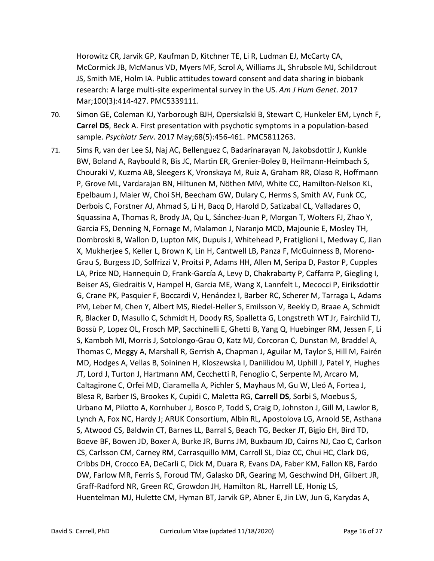Horowitz CR, Jarvik GP, Kaufman D, Kitchner TE, Li R, Ludman EJ, McCarty CA, McCormick JB, McManus VD, Myers MF, Scrol A, Williams JL, Shrubsole MJ, Schildcrout JS, Smith ME, Holm IA. Public attitudes toward consent and data sharing in biobank research: A large multi-site experimental survey in the US. *Am J Hum Genet*. 2017 Mar;100(3):414-427. PMC5339111.

- 70. Simon GE, Coleman KJ, Yarborough BJH, Operskalski B, Stewart C, Hunkeler EM, Lynch F, **Carrel DS**, Beck A. First presentation with psychotic symptoms in a population-based sample. *Psychiatr Serv*. 2017 May;68(5):456-461. PMC5811263.
- 71. Sims R, van der Lee SJ, Naj AC, Bellenguez C, Badarinarayan N, Jakobsdottir J, Kunkle BW, Boland A, Raybould R, Bis JC, Martin ER, Grenier-Boley B, Heilmann-Heimbach S, Chouraki V, Kuzma AB, Sleegers K, Vronskaya M, Ruiz A, Graham RR, Olaso R, Hoffmann P, Grove ML, Vardarajan BN, Hiltunen M, Nöthen MM, White CC, Hamilton-Nelson KL, Epelbaum J, Maier W, Choi SH, Beecham GW, Dulary C, Herms S, Smith AV, Funk CC, Derbois C, Forstner AJ, Ahmad S, Li H, Bacq D, Harold D, Satizabal CL, Valladares O, Squassina A, Thomas R, Brody JA, Qu L, Sánchez-Juan P, Morgan T, Wolters FJ, Zhao Y, Garcia FS, Denning N, Fornage M, Malamon J, Naranjo MCD, Majounie E, Mosley TH, Dombroski B, Wallon D, Lupton MK, Dupuis J, Whitehead P, Fratiglioni L, Medway C, Jian X, Mukherjee S, Keller L, Brown K, Lin H, Cantwell LB, Panza F, McGuinness B, Moreno-Grau S, Burgess JD, Solfrizzi V, Proitsi P, Adams HH, Allen M, Seripa D, Pastor P, Cupples LA, Price ND, Hannequin D, Frank-García A, Levy D, Chakrabarty P, Caffarra P, Giegling I, Beiser AS, Giedraitis V, Hampel H, Garcia ME, Wang X, Lannfelt L, Mecocci P, Eiriksdottir G, Crane PK, Pasquier F, Boccardi V, Henández I, Barber RC, Scherer M, Tarraga L, Adams PM, Leber M, Chen Y, Albert MS, Riedel-Heller S, Emilsson V, Beekly D, Braae A, Schmidt R, Blacker D, Masullo C, Schmidt H, Doody RS, Spalletta G, Longstreth WT Jr, Fairchild TJ, Bossù P, Lopez OL, Frosch MP, Sacchinelli E, Ghetti B, Yang Q, Huebinger RM, Jessen F, Li S, Kamboh MI, Morris J, Sotolongo-Grau O, Katz MJ, Corcoran C, Dunstan M, Braddel A, Thomas C, Meggy A, Marshall R, Gerrish A, Chapman J, Aguilar M, Taylor S, Hill M, Fairén MD, Hodges A, Vellas B, Soininen H, Kloszewska I, Daniilidou M, Uphill J, Patel Y, Hughes JT, Lord J, Turton J, Hartmann AM, Cecchetti R, Fenoglio C, Serpente M, Arcaro M, Caltagirone C, Orfei MD, Ciaramella A, Pichler S, Mayhaus M, Gu W, Lleó A, Fortea J, Blesa R, Barber IS, Brookes K, Cupidi C, Maletta RG, **Carrell DS**, Sorbi S, Moebus S, Urbano M, Pilotto A, Kornhuber J, Bosco P, Todd S, Craig D, Johnston J, Gill M, Lawlor B, Lynch A, Fox NC, Hardy J; ARUK Consortium, Albin RL, Apostolova LG, Arnold SE, Asthana S, Atwood CS, Baldwin CT, Barnes LL, Barral S, Beach TG, Becker JT, Bigio EH, Bird TD, Boeve BF, Bowen JD, Boxer A, Burke JR, Burns JM, Buxbaum JD, Cairns NJ, Cao C, Carlson CS, Carlsson CM, Carney RM, Carrasquillo MM, Carroll SL, Diaz CC, Chui HC, Clark DG, Cribbs DH, Crocco EA, DeCarli C, Dick M, Duara R, Evans DA, Faber KM, Fallon KB, Fardo DW, Farlow MR, Ferris S, Foroud TM, Galasko DR, Gearing M, Geschwind DH, Gilbert JR, Graff-Radford NR, Green RC, Growdon JH, Hamilton RL, Harrell LE, Honig LS, Huentelman MJ, Hulette CM, Hyman BT, Jarvik GP, Abner E, Jin LW, Jun G, Karydas A,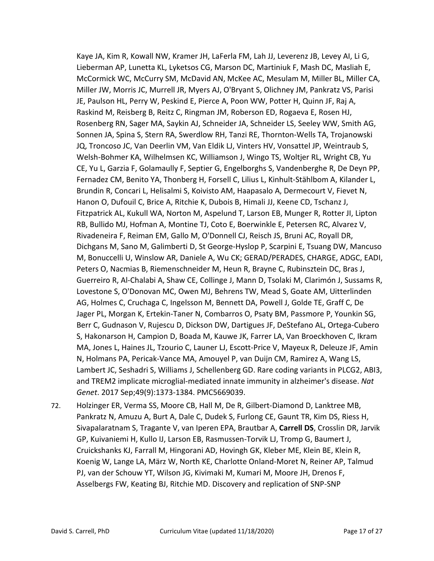Kaye JA, Kim R, Kowall NW, Kramer JH, LaFerla FM, Lah JJ, Leverenz JB, Levey AI, Li G, Lieberman AP, Lunetta KL, Lyketsos CG, Marson DC, Martiniuk F, Mash DC, Masliah E, McCormick WC, McCurry SM, McDavid AN, McKee AC, Mesulam M, Miller BL, Miller CA, Miller JW, Morris JC, Murrell JR, Myers AJ, O'Bryant S, Olichney JM, Pankratz VS, Parisi JE, Paulson HL, Perry W, Peskind E, Pierce A, Poon WW, Potter H, Quinn JF, Raj A, Raskind M, Reisberg B, Reitz C, Ringman JM, Roberson ED, Rogaeva E, Rosen HJ, Rosenberg RN, Sager MA, Saykin AJ, Schneider JA, Schneider LS, Seeley WW, Smith AG, Sonnen JA, Spina S, Stern RA, Swerdlow RH, Tanzi RE, Thornton-Wells TA, Trojanowski JQ, Troncoso JC, Van Deerlin VM, Van Eldik LJ, Vinters HV, Vonsattel JP, Weintraub S, Welsh-Bohmer KA, Wilhelmsen KC, Williamson J, Wingo TS, Woltjer RL, Wright CB, Yu CE, Yu L, Garzia F, Golamaully F, Septier G, Engelborghs S, Vandenberghe R, De Deyn PP, Fernadez CM, Benito YA, Thonberg H, Forsell C, Lilius L, Kinhult-Stählbom A, Kilander L, Brundin R, Concari L, Helisalmi S, Koivisto AM, Haapasalo A, Dermecourt V, Fievet N, Hanon O, Dufouil C, Brice A, Ritchie K, Dubois B, Himali JJ, Keene CD, Tschanz J, Fitzpatrick AL, Kukull WA, Norton M, Aspelund T, Larson EB, Munger R, Rotter JI, Lipton RB, Bullido MJ, Hofman A, Montine TJ, Coto E, Boerwinkle E, Petersen RC, Alvarez V, Rivadeneira F, Reiman EM, Gallo M, O'Donnell CJ, Reisch JS, Bruni AC, Royall DR, Dichgans M, Sano M, Galimberti D, St George-Hyslop P, Scarpini E, Tsuang DW, Mancuso M, Bonuccelli U, Winslow AR, Daniele A, Wu CK; GERAD/PERADES, CHARGE, ADGC, EADI, Peters O, Nacmias B, Riemenschneider M, Heun R, Brayne C, Rubinsztein DC, Bras J, Guerreiro R, Al-Chalabi A, Shaw CE, Collinge J, Mann D, Tsolaki M, Clarimón J, Sussams R, Lovestone S, O'Donovan MC, Owen MJ, Behrens TW, Mead S, Goate AM, Uitterlinden AG, Holmes C, Cruchaga C, Ingelsson M, Bennett DA, Powell J, Golde TE, Graff C, De Jager PL, Morgan K, Ertekin-Taner N, Combarros O, Psaty BM, Passmore P, Younkin SG, Berr C, Gudnason V, Rujescu D, Dickson DW, Dartigues JF, DeStefano AL, Ortega-Cubero S, Hakonarson H, Campion D, Boada M, Kauwe JK, Farrer LA, Van Broeckhoven C, Ikram MA, Jones L, Haines JL, Tzourio C, Launer LJ, Escott-Price V, Mayeux R, Deleuze JF, Amin N, Holmans PA, Pericak-Vance MA, Amouyel P, van Duijn CM, Ramirez A, Wang LS, Lambert JC, Seshadri S, Williams J, Schellenberg GD. Rare coding variants in PLCG2, ABI3, and TREM2 implicate microglial-mediated innate immunity in alzheimer's disease. *Nat Genet*. 2017 Sep;49(9):1373-1384. PMC5669039.

72. Holzinger ER, Verma SS, Moore CB, Hall M, De R, Gilbert-Diamond D, Lanktree MB, Pankratz N, Amuzu A, Burt A, Dale C, Dudek S, Furlong CE, Gaunt TR, Kim DS, Riess H, Sivapalaratnam S, Tragante V, van Iperen EPA, Brautbar A, **Carrell DS**, Crosslin DR, Jarvik GP, Kuivaniemi H, Kullo IJ, Larson EB, Rasmussen-Torvik LJ, Tromp G, Baumert J, Cruickshanks KJ, Farrall M, Hingorani AD, Hovingh GK, Kleber ME, Klein BE, Klein R, Koenig W, Lange LA, Mӓrz W, North KE, Charlotte Onland-Moret N, Reiner AP, Talmud PJ, van der Schouw YT, Wilson JG, Kivimaki M, Kumari M, Moore JH, Drenos F, Asselbergs FW, Keating BJ, Ritchie MD. Discovery and replication of SNP-SNP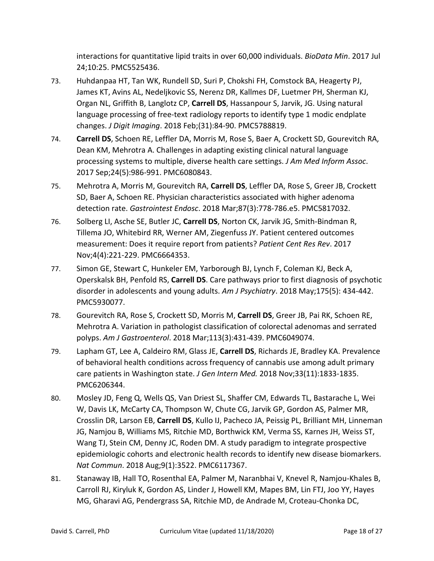interactions for quantitative lipid traits in over 60,000 individuals. *BioData Min*. 2017 Jul 24;10:25. PMC5525436.

- 73. Huhdanpaa HT, Tan WK, Rundell SD, Suri P, Chokshi FH, Comstock BA, Heagerty PJ, James KT, Avins AL, Nedeljkovic SS, Nerenz DR, Kallmes DF, Luetmer PH, Sherman KJ, Organ NL, Griffith B, Langlotz CP, **Carrell DS**, Hassanpour S, Jarvik, JG. Using natural language processing of free-text radiology reports to identify type 1 modic endplate changes. *J Digit Imaging*. 2018 Feb;(31):84-90. PMC5788819.
- 74. **Carrell DS**, Schoen RE, Leffler DA, Morris M, Rose S, Baer A, Crockett SD, Gourevitch RA, Dean KM, Mehrotra A. Challenges in adapting existing clinical natural language processing systems to multiple, diverse health care settings. *J Am Med Inform Assoc*. 2017 Sep;24(5):986-991. PMC6080843.
- 75. Mehrotra A, Morris M, Gourevitch RA, **Carrell DS**, Leffler DA, Rose S, Greer JB, Crockett SD, Baer A, Schoen RE. Physician characteristics associated with higher adenoma detection rate. *Gastrointest Endosc*. 2018 Mar;87(3):778-786.e5. PMC5817032.
- 76. Solberg LI, Asche SE, Butler JC, **Carrell DS**, Norton CK, Jarvik JG, Smith-Bindman R, Tillema JO, Whitebird RR, Werner AM, Ziegenfuss JY. Patient centered outcomes measurement: Does it require report from patients? *Patient Cent Res Rev*. 2017 Nov;4(4):221-229. PMC6664353.
- 77. Simon GE, Stewart C, Hunkeler EM, Yarborough BJ, Lynch F, Coleman KJ, Beck A, Operskalsk BH, Penfold RS, **Carrell DS**. Care pathways prior to first diagnosis of psychotic disorder in adolescents and young adults. *Am J Psychiatry*. 2018 May;175(5): 434-442. PMC5930077.
- 78. Gourevitch RA, Rose S, Crockett SD, Morris M, **Carrell DS**, Greer JB, Pai RK, Schoen RE, Mehrotra A. Variation in pathologist classification of colorectal adenomas and serrated polyps. *Am J Gastroenterol*. 2018 Mar;113(3):431-439. PMC6049074.
- 79. Lapham GT, Lee A, Caldeiro RM, Glass JE, **Carrell DS**, Richards JE, Bradley KA. Prevalence of behavioral health conditions across frequency of cannabis use among adult primary care patients in Washington state. *J Gen Intern Med.* 2018 Nov;33(11):1833-1835. PMC6206344.
- 80. Mosley JD, Feng Q, Wells QS, Van Driest SL, Shaffer CM, Edwards TL, Bastarache L, Wei W, Davis LK, McCarty CA, Thompson W, Chute CG, Jarvik GP, Gordon AS, Palmer MR, Crosslin DR, Larson EB, **Carrell DS**, Kullo IJ, Pacheco JA, Peissig PL, Brilliant MH, Linneman JG, Namjou B, Williams MS, Ritchie MD, Borthwick KM, Verma SS, Karnes JH, Weiss ST, Wang TJ, Stein CM, Denny JC, Roden DM. A study paradigm to integrate prospective epidemiologic cohorts and electronic health records to identify new disease biomarkers. *Nat Commun*. 2018 Aug;9(1):3522. PMC6117367.
- 81. Stanaway IB, Hall TO, Rosenthal EA, Palmer M, Naranbhai V, Knevel R, Namjou-Khales B, Carroll RJ, Kiryluk K, Gordon AS, Linder J, Howell KM, Mapes BM, Lin FTJ, Joo YY, Hayes MG, Gharavi AG, Pendergrass SA, Ritchie MD, de Andrade M, Croteau-Chonka DC,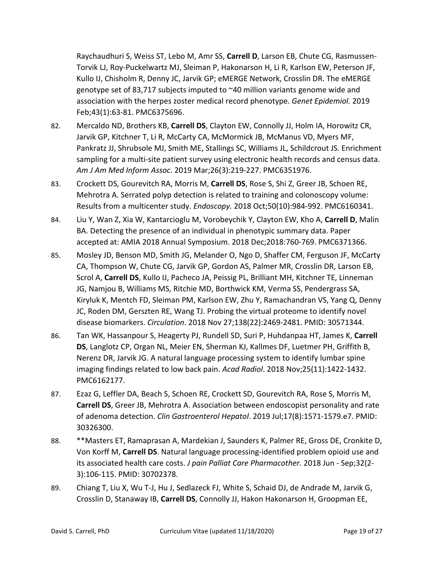Raychaudhuri S, Weiss ST, Lebo M, Amr SS, **Carrell D**, Larson EB, Chute CG, Rasmussen-Torvik LJ, Roy-Puckelwartz MJ, Sleiman P, Hakonarson H, Li R, Karlson EW, Peterson JF, Kullo IJ, Chisholm R, Denny JC, Jarvik GP; eMERGE Network, Crosslin DR. The eMERGE genotype set of 83,717 subjects imputed to ~40 million variants genome wide and association with the herpes zoster medical record phenotype. *Genet Epidemiol.* 2019 Feb;43(1):63-81. PMC6375696.

- 82. Mercaldo ND, Brothers KB, **Carrell DS**, Clayton EW, Connolly JJ, Holm IA, Horowitz CR, Jarvik GP, Kitchner T, Li R, McCarty CA, McMormick JB, McManus VD, Myers MF, Pankratz JJ, Shrubsole MJ, Smith ME, Stallings SC, Williams JL, Schildcrout JS. Enrichment sampling for a multi-site patient survey using electronic health records and census data. *Am J Am Med Inform Assoc*. 2019 Mar;26(3):219-227. PMC6351976.
- 83. Crockett DS, Gourevitch RA, Morris M, **Carrell DS**, Rose S, Shi Z, Greer JB, Schoen RE, Mehrotra A. Serrated polyp detection is related to training and colonoscopy volume: Results from a multicenter study. *Endoscopy.* 2018 Oct;50(10):984-992. PMC6160341.
- 84. Liu Y, Wan Z, Xia W, Kantarcioglu M, Vorobeychik Y, Clayton EW, Kho A, **Carrell D**, Malin BA. Detecting the presence of an individual in phenotypic summary data. Paper accepted at: AMIA 2018 Annual Symposium. 2018 Dec;2018:760-769. PMC6371366.
- 85. Mosley JD, Benson MD, Smith JG, Melander O, Ngo D, Shaffer CM, Ferguson JF, McCarty CA, Thompson W, Chute CG, Jarvik GP, Gordon AS, Palmer MR, Crosslin DR, Larson EB, Scrol A, **Carrell DS**, Kullo IJ, Pacheco JA, Peissig PL, Brilliant MH, Kitchner TE, Linneman JG, Namjou B, Williams MS, Ritchie MD, Borthwick KM, Verma SS, Pendergrass SA, Kiryluk K, Mentch FD, Sleiman PM, Karlson EW, Zhu Y, Ramachandran VS, Yang Q, Denny JC, Roden DM, Gerszten RE, Wang TJ. Probing the virtual proteome to identify novel disease biomarkers. *Circulation*. 2018 Nov 27;138(22):2469-2481. PMID: 30571344.
- 86. Tan WK, Hassanpour S, Heagerty PJ, Rundell SD, Suri P, Huhdanpaa HT, James K, **Carrell DS**, Langlotz CP, Organ NL, Meier EN, Sherman KJ, Kallmes DF, Luetmer PH, Griffith B, Nerenz DR, Jarvik JG. A natural language processing system to identify lumbar spine imaging findings related to low back pain. *Acad Radiol*. 2018 Nov;25(11):1422-1432. PMC6162177.
- 87. Ezaz G, Leffler DA, Beach S, Schoen RE, Crockett SD, Gourevitch RA, Rose S, Morris M, **Carrell DS**, Greer JB, Mehrotra A. Association between endoscopist personality and rate of adenoma detection. *Clin Gastroenterol Hepatol*. 2019 Jul;17(8):1571-1579.e7. PMID: 30326300.
- 88. \*\*Masters ET, Ramaprasan A, Mardekian J, Saunders K, Palmer RE, Gross DE, Cronkite D, Von Korff M, **Carrell DS**. Natural language processing-identified problem opioid use and its associated health care costs. *J pain Palliat Care Pharmacother.* 2018 Jun - Sep;32(2- 3):106-115. PMID: 30702378.
- 89. Chiang T, Liu X, Wu T-J, Hu J, Sedlazeck FJ, White S, Schaid DJ, de Andrade M, Jarvik G, Crosslin D, Stanaway IB, **Carrell DS**, Connolly JJ, Hakon Hakonarson H, Groopman EE,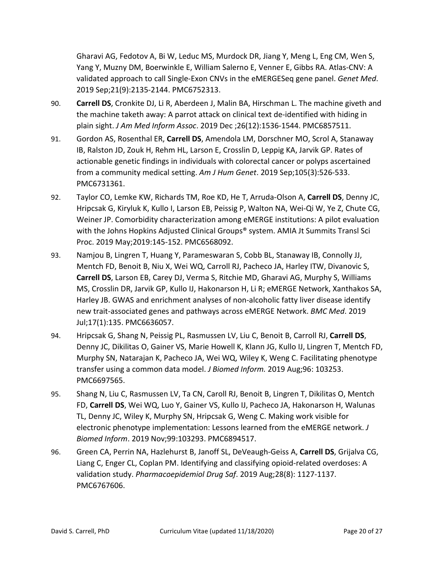Gharavi AG, Fedotov A, Bi W, Leduc MS, Murdock DR, Jiang Y, Meng L, Eng CM, Wen S, Yang Y, Muzny DM, Boerwinkle E, William Salerno E, Venner E, Gibbs RA. Atlas-CNV: A validated approach to call Single-Exon CNVs in the eMERGESeq gene panel. *Genet Med*. 2019 Sep;21(9):2135-2144. PMC6752313.

- 90. **Carrell DS**, Cronkite DJ, Li R, Aberdeen J, Malin BA, Hirschman L. The machine giveth and the machine taketh away: A parrot attack on clinical text de-identified with hiding in plain sight. *J Am Med Inform Assoc*. 2019 Dec ;26(12):1536-1544. PMC6857511.
- 91. Gordon AS, Rosenthal ER, **Carrell DS**, Amendola LM, Dorschner MO, Scrol A, Stanaway IB, Ralston JD, Zouk H, Rehm HL, Larson E, Crosslin D, Leppig KA, Jarvik GP. Rates of actionable genetic findings in individuals with colorectal cancer or polyps ascertained from a community medical setting. *Am J Hum Genet*. 2019 Sep;105(3):526-533. PMC6731361.
- 92. Taylor CO, Lemke KW, Richards TM, Roe KD, He T, Arruda-Olson A, **Carrell DS**, Denny JC, Hripcsak G, Kiryluk K, Kullo I, Larson EB, Peissig P, Walton NA, Wei-Qi W, Ye Z, Chute CG, Weiner JP. Comorbidity characterization among eMERGE institutions: A pilot evaluation with the Johns Hopkins Adjusted Clinical Groups® system. AMIA Jt Summits Transl Sci Proc. 2019 May;2019:145-152. PMC6568092.
- 93. Namjou B, Lingren T, Huang Y, Parameswaran S, Cobb BL, Stanaway IB, Connolly JJ, Mentch FD, Benoit B, Niu X, Wei WQ, Carroll RJ, Pacheco JA, Harley ITW, Divanovic S, **Carrell DS**, Larson EB, Carey DJ, Verma S, Ritchie MD, Gharavi AG, Murphy S, Williams MS, Crosslin DR, Jarvik GP, Kullo IJ, Hakonarson H, Li R; eMERGE Network, Xanthakos SA, Harley JB. GWAS and enrichment analyses of non-alcoholic fatty liver disease identify new trait-associated genes and pathways across eMERGE Network. *BMC Med*. 2019 Jul;17(1):135. PMC6636057.
- 94. Hripcsak G, Shang N, Peissig PL, Rasmussen LV, Liu C, Benoit B, Carroll RJ, **Carrell DS**, Denny JC, Dikilitas O, Gainer VS, Marie Howell K, Klann JG, Kullo IJ, Lingren T, Mentch FD, Murphy SN, Natarajan K, Pacheco JA, Wei WQ, Wiley K, Weng C. Facilitating phenotype transfer using a common data model. *J Biomed Inform.* 2019 Aug;96: 103253. PMC6697565.
- 95. Shang N, Liu C, Rasmussen LV, Ta CN, Caroll RJ, Benoit B, Lingren T, Dikilitas O, Mentch FD, **Carrell DS**, Wei WQ, Luo Y, Gainer VS, Kullo IJ, Pacheco JA, Hakonarson H, Walunas TL, Denny JC, Wiley K, Murphy SN, Hripcsak G, Weng C. Making work visible for electronic phenotype implementation: Lessons learned from the eMERGE network. *J Biomed Inform*. 2019 Nov;99:103293. PMC6894517.
- 96. Green CA, Perrin NA, Hazlehurst B, Janoff SL, DeVeaugh-Geiss A, **Carrell DS**, Grijalva CG, Liang C, Enger CL, Coplan PM. Identifying and classifying opioid-related overdoses: A validation study. *Pharmacoepidemiol Drug Saf*. 2019 Aug;28(8): 1127-1137. PMC6767606.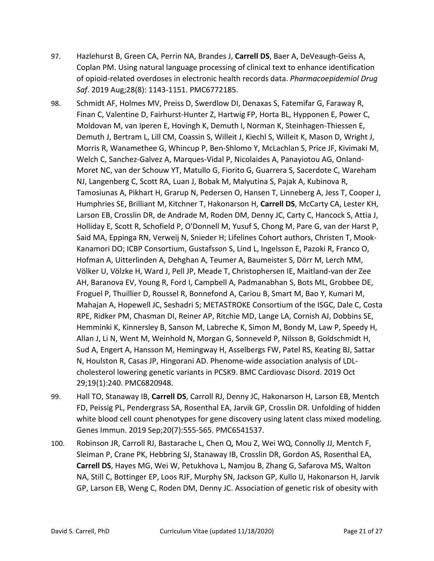- 97. Hazlehurst B, Green CA, Perrin NA, Brandes J, **Carrell DS**, Baer A, DeVeaugh-Geiss A, Coplan PM. Using natural language processing of clinical text to enhance identification of opioid-related overdoses in electronic health records data. *Pharmacoepidemiol Drug Saf*. 2019 Aug;28(8): 1143-1151. PMC6772185.
- 98. Schmidt AF, Holmes MV, Preiss D, Swerdlow DI, Denaxas S, Fatemifar G, Faraway R, Finan C, Valentine D, Fairhurst-Hunter Z, Hartwig FP, Horta BL, Hypponen E, Power C, Moldovan M, van Iperen E, Hovingh K, Demuth I, Norman K, Steinhagen-Thiessen E, Demuth J, Bertram L, Lill CM, Coassin S, Willeit J, Kiechl S, Willeit K, Mason D, Wright J, Morris R, Wanamethee G, Whincup P, Ben-Shlomo Y, McLachlan S, Price JF, Kivimaki M, Welch C, Sanchez-Galvez A, Marques-Vidal P, Nicolaides A, Panayiotou AG, Onland-Moret NC, van der Schouw YT, Matullo G, Fiorito G, Guarrera S, Sacerdote C, Wareham NJ, Langenberg C, Scott RA, Luan J, Bobak M, Malyutina S, Pajak A, Kubinova R, Tamosiunas A, Pikhart H, Grarup N, Pedersen O, Hansen T, Linneberg A, Jess T, Cooper J, Humphries SE, Brilliant M, Kitchner T, Hakonarson H, **Carrell DS**, McCarty CA, Lester KH, Larson EB, Crosslin DR, de Andrade M, Roden DM, Denny JC, Carty C, Hancock S, Attia J, Holliday E, Scott R, Schofield P, O'Donnell M, Yusuf S, Chong M, Pare G, van der Harst P, Said MA, Eppinga RN, Verweij N, Snieder H; Lifelines Cohort authors, Christen T, Mook-Kanamori DO; ICBP Consortium, Gustafsson S, Lind L, Ingelsson E, Pazoki R, Franco O, Hofman A, Uitterlinden A, Dehghan A, Teumer A, Baumeister S, Dörr M, Lerch MM, Völker U, Völzke H, Ward J, Pell JP, Meade T, Christophersen IE, Maitland-van der Zee AH, Baranova EV, Young R, Ford I, Campbell A, Padmanabhan S, Bots ML, Grobbee DE, Froguel P, Thuillier D, Roussel R, Bonnefond A, Cariou B, Smart M, Bao Y, Kumari M, Mahajan A, Hopewell JC, Seshadri S; METASTROKE Consortium of the ISGC, Dale C, Costa RPE, Ridker PM, Chasman DI, Reiner AP, Ritchie MD, Lange LA, Cornish AJ, Dobbins SE, Hemminki K, Kinnersley B, Sanson M, Labreche K, Simon M, Bondy M, Law P, Speedy H, Allan J, Li N, Went M, Weinhold N, Morgan G, Sonneveld P, Nilsson B, Goldschmidt H, Sud A, Engert A, Hansson M, Hemingway H, Asselbergs FW, Patel RS, Keating BJ, Sattar N, Houlston R, Casas JP, Hingorani AD. Phenome-wide association analysis of LDLcholesterol lowering genetic variants in PCSK9. BMC Cardiovasc Disord. 2019 Oct 29;19(1):240. PMC6820948.
- 99. Hall TO, Stanaway IB, **Carrell DS**, Carroll RJ, Denny JC, Hakonarson H, Larson EB, Mentch FD, Peissig PL, Pendergrass SA, Rosenthal EA, Jarvik GP, Crosslin DR. Unfolding of hidden white blood cell count phenotypes for gene discovery using latent class mixed modeling. Genes Immun. 2019 Sep;20(7):555-565. PMC6541537.
- 100. Robinson JR, Carroll RJ, Bastarache L, Chen Q, Mou Z, Wei WQ, Connolly JJ, Mentch F, Sleiman P, Crane PK, Hebbring SJ, Stanaway IB, Crosslin DR, Gordon AS, Rosenthal EA, **Carrell DS**, Hayes MG, Wei W, Petukhova L, Namjou B, Zhang G, Safarova MS, Walton NA, Still C, Bottinger EP, Loos RJF, Murphy SN, Jackson GP, Kullo IJ, Hakonarson H, Jarvik GP, Larson EB, Weng C, Roden DM, Denny JC. Association of genetic risk of obesity with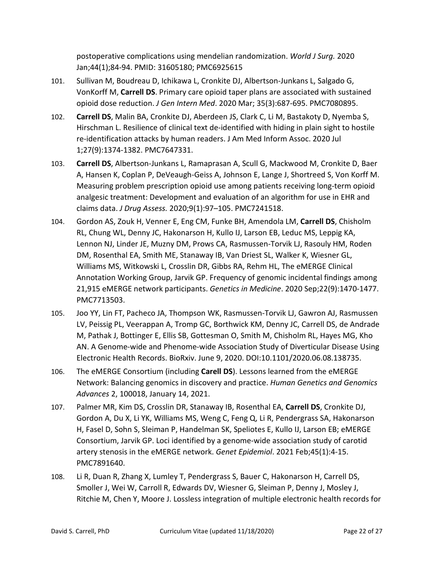postoperative complications using mendelian randomization. *World J Surg.* 2020 Jan;44(1);84-94. PMID: 31605180; PMC6925615

- 101. Sullivan M, Boudreau D, Ichikawa L, Cronkite DJ, Albertson-Junkans L, Salgado G, VonKorff M, **Carrell DS**. Primary care opioid taper plans are associated with sustained opioid dose reduction. *J Gen Intern Med*. 2020 Mar; 35(3):687-695. PMC7080895.
- 102. **Carrell DS**, Malin BA, Cronkite DJ, Aberdeen JS, Clark C, Li M, Bastakoty D, Nyemba S, Hirschman L. Resilience of clinical text de-identified with hiding in plain sight to hostile re-identification attacks by human readers. J Am Med Inform Assoc. 2020 Jul 1;27(9):1374-1382. PMC7647331.
- 103. **Carrell DS**, Albertson-Junkans L, Ramaprasan A, Scull G, Mackwood M, Cronkite D, Baer A, Hansen K, Coplan P, DeVeaugh-Geiss A, Johnson E, Lange J, Shortreed S, Von Korff M. Measuring problem prescription opioid use among patients receiving long-term opioid analgesic treatment: Development and evaluation of an algorithm for use in EHR and claims data. *J Drug Assess.* 2020;9(1):97–105. PMC7241518.
- 104. Gordon AS, Zouk H, Venner E, Eng CM, Funke BH, Amendola LM, **Carrell DS**, Chisholm RL, Chung WL, Denny JC, Hakonarson H, Kullo IJ, Larson EB, Leduc MS, Leppig KA, Lennon NJ, Linder JE, Muzny DM, Prows CA, Rasmussen-Torvik LJ, Rasouly HM, Roden DM, Rosenthal EA, Smith ME, Stanaway IB, Van Driest SL, Walker K, Wiesner GL, Williams MS, Witkowski L, Crosslin DR, Gibbs RA, Rehm HL, The eMERGE Clinical Annotation Working Group, Jarvik GP. Frequency of genomic incidental findings among 21,915 eMERGE network participants. *Genetics in Medicine*. 2020 Sep;22(9):1470-1477. PMC7713503.
- 105. Joo YY, Lin FT, Pacheco JA, Thompson WK, Rasmussen-Torvik LJ, Gawron AJ, Rasmussen LV, Peissig PL, Veerappan A, Tromp GC, Borthwick KM, Denny JC, Carrell DS, de Andrade M, Pathak J, Bottinger E, Ellis SB, Gottesman O, Smith M, Chisholm RL, Hayes MG, Kho AN. A Genome-wide and Phenome-wide Association Study of Diverticular Disease Using Electronic Health Records. BioRxiv. June 9, 2020. DOI:10.1101/2020.06.08.138735.
- 106. The eMERGE Consortium (including **Carell DS**). Lessons learned from the eMERGE Network: Balancing genomics in discovery and practice. *Human Genetics and Genomics Advances* 2, 100018, January 14, 2021.
- 107. Palmer MR, Kim DS, Crosslin DR, Stanaway IB, Rosenthal EA, **Carrell DS**, Cronkite DJ, Gordon A, Du X, Li YK, Williams MS, Weng C, Feng Q, Li R, Pendergrass SA, Hakonarson H, Fasel D, Sohn S, Sleiman P, Handelman SK, Speliotes E, Kullo IJ, Larson EB; eMERGE Consortium, Jarvik GP. Loci identified by a genome-wide association study of carotid artery stenosis in the eMERGE network. *Genet Epidemiol*. 2021 Feb;45(1):4-15. PMC7891640.
- 108. Li R, Duan R, Zhang X, Lumley T, Pendergrass S, Bauer C, Hakonarson H, Carrell DS, Smoller J, Wei W, Carroll R, Edwards DV, Wiesner G, Sleiman P, Denny J, Mosley J, Ritchie M, Chen Y, Moore J. Lossless integration of multiple electronic health records for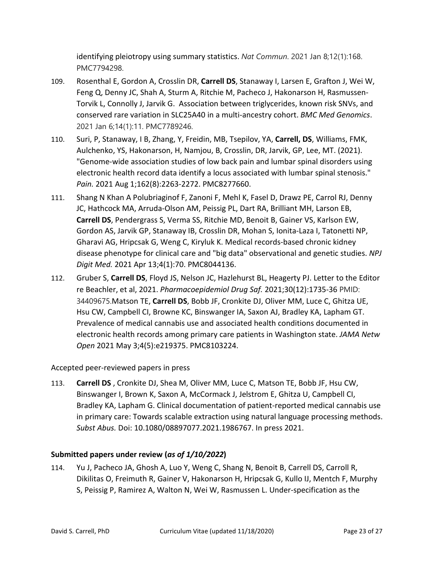identifying pleiotropy using summary statistics. *Nat Commun*. 2021 Jan 8;12(1):168. PMC7794298.

- 109. Rosenthal E, Gordon A, Crosslin DR, **Carrell DS**, Stanaway I, Larsen E, Grafton J, Wei W, Feng Q, Denny JC, Shah A, Sturm A, Ritchie M, Pacheco J, Hakonarson H, Rasmussen-Torvik L, Connolly J, Jarvik G. Association between triglycerides, known risk SNVs, and conserved rare variation in SLC25A40 in a multi-ancestry cohort. *BMC Med Genomics*. 2021 Jan 6;14(1):11. PMC7789246.
- 110. Suri, P, Stanaway, I B, Zhang, Y, Freidin, MB, Tsepilov, YA, **Carrell, DS**, Williams, FMK, Aulchenko, YS, Hakonarson, H, Namjou, B, Crosslin, DR, Jarvik, GP, Lee, MT. (2021). "Genome-wide association studies of low back pain and lumbar spinal disorders using electronic health record data identify a locus associated with lumbar spinal stenosis." *Pain.* 2021 Aug 1;162(8):2263-2272. PMC8277660.
- 111. Shang N Khan A Polubriaginof F, Zanoni F, Mehl K, Fasel D, Drawz PE, Carrol RJ, Denny JC, Hathcock MA, Arruda-Olson AM, Peissig PL, Dart RA, Brilliant MH, Larson EB, **Carrell DS**, Pendergrass S, Verma SS, Ritchie MD, Benoit B, Gainer VS, Karlson EW, Gordon AS, Jarvik GP, Stanaway IB, Crosslin DR, Mohan S, Ionita-Laza I, Tatonetti NP, Gharavi AG, Hripcsak G, Weng C, Kiryluk K. Medical records-based chronic kidney disease phenotype for clinical care and "big data" observational and genetic studies. *NPJ Digit Med.* 2021 Apr 13;4(1):70. PMC8044136.
- 112. Gruber S, **Carrell DS**, Floyd JS, Nelson JC, Hazlehurst BL, Heagerty PJ. Letter to the Editor re Beachler, et al, 2021. *Pharmacoepidemiol Drug Saf.* 2021;30(12):1735-36 PMID: 34409675.Matson TE, **Carrell DS**, Bobb JF, Cronkite DJ, Oliver MM, Luce C, Ghitza UE, Hsu CW, Campbell CI, Browne KC, Binswanger IA, Saxon AJ, Bradley KA, Lapham GT. Prevalence of medical cannabis use and associated health conditions documented in electronic health records among primary care patients in Washington state. *JAMA Netw Open* 2021 May 3;4(5):e219375. PMC8103224.

# Accepted peer-reviewed papers in press

113. **Carrell DS** , Cronkite DJ, Shea M, Oliver MM, Luce C, Matson TE, Bobb JF, Hsu CW, Binswanger I, Brown K, Saxon A, McCormack J, Jelstrom E, Ghitza U, Campbell CI, Bradley KA, Lapham G. Clinical documentation of patient-reported medical cannabis use in primary care: Towards scalable extraction using natural language processing methods. *Subst Abus.* Doi: 10.1080/08897077.2021.1986767. In press 2021.

# **Submitted papers under review (***as of 1/10/2022***)**

114. Yu J, Pacheco JA, Ghosh A, Luo Y, Weng C, Shang N, Benoit B, Carrell DS, Carroll R, Dikilitas O, Freimuth R, Gainer V, Hakonarson H, Hripcsak G, Kullo IJ, Mentch F, Murphy S, Peissig P, Ramirez A, Walton N, Wei W, Rasmussen L. Under-specification as the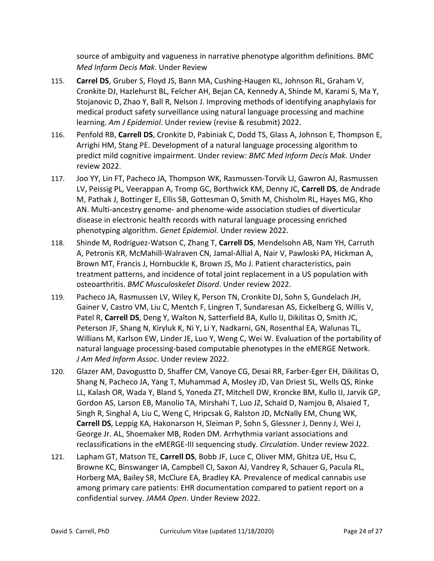source of ambiguity and vagueness in narrative phenotype algorithm definitions. BMC *Med Inform Decis Mak*. Under Review

- 115. **Carrel DS**, Gruber S, Floyd JS, Bann MA, Cushing-Haugen KL, Johnson RL, Graham V, Cronkite DJ, Hazlehurst BL, Felcher AH, Bejan CA, Kennedy A, Shinde M, Karami S, Ma Y, Stojanovic D, Zhao Y, Ball R, Nelson J. Improving methods of identifying anaphylaxis for medical product safety surveillance using natural language processing and machine learning. *Am J Epidemiol*. Under review (revise & resubmit) 2022.
- 116. Penfold RB, **Carrell DS**, Cronkite D, Pabiniak C, Dodd TS, Glass A, Johnson E, Thompson E, Arrighi HM, Stang PE. Development of a natural language processing algorithm to predict mild cognitive impairment. Under review: *BMC Med Inform Decis Mak*. Under review 2022.
- 117. Joo YY, Lin FT, Pacheco JA, Thompson WK, Rasmussen-Torvik LJ, Gawron AJ, Rasmussen LV, Peissig PL, Veerappan A, Tromp GC, Borthwick KM, Denny JC, **Carrell DS**, de Andrade M, Pathak J, Bottinger E, Ellis SB, Gottesman O, Smith M, Chisholm RL, Hayes MG, Kho AN. Multi-ancestry genome- and phenome-wide association studies of diverticular disease in electronic health records with natural language processing enriched phenotyping algorithm. *Genet Epidemiol*. Under review 2022.
- 118. Shinde M, Rodriguez-Watson C, Zhang T, **Carrell DS**, Mendelsohn AB, Nam YH, Carruth A, Petronis KR, McMahill-Walraven CN, Jamal-Allial A, Nair V, Pawloski PA, Hickman A, Brown MT, Francis J, Hornbuckle K, Brown JS, Mo J. Patient characteristics, pain treatment patterns, and incidence of total joint replacement in a US population with osteoarthritis. *BMC Musculoskelet Disord*. Under review 2022.
- 119. Pacheco JA, Rasmussen LV, Wiley K, Person TN, Cronkite DJ, Sohn S, Gundelach JH, Gainer V, Castro VM, Liu C, Mentch F, Lingren T, Sundaresan AS, Eickelberg G, Willis V, Patel R, **Carrell DS**, Deng Y, Walton N, Satterfield BA, Kullo IJ, Dikilitas O, Smith JC, Peterson JF, Shang N, Kiryluk K, Ni Y, Li Y, Nadkarni, GN, Rosenthal EA, Walunas TL, Willians M, Karlson EW, Linder JE, Luo Y, Weng C, Wei W. Evaluation of the portability of natural language processing-based computable phenotypes in the eMERGE Network. *J Am Med Inform Assoc*. Under review 2022.
- 120. Glazer AM, Davogustto D, Shaffer CM, Vanoye CG, Desai RR, Farber-Eger EH, Dikilitas O, Shang N, Pacheco JA, Yang T, Muhammad A, Mosley JD, Van Driest SL, Wells QS, Rinke LL, Kalash OR, Wada Y, Bland S, Yoneda ZT, Mitchell DW, Kroncke BM, Kullo IJ, Jarvik GP, Gordon AS, Larson EB, Manolio TA, Mirshahi T, Luo JZ, Schaid D, Namjou B, Alsaied T, Singh R, Singhal A, Liu C, Weng C, Hripcsak G, Ralston JD, McNally EM, Chung WK, **Carrell DS**, Leppig KA, Hakonarson H, Sleiman P, Sohn S, Glessner J, Denny J, Wei J, George Jr. AL, Shoemaker MB, Roden DM. Arrhythmia variant associations and reclassifications in the eMERGE-III sequencing study. *Circulation*. Under review 2022.
- 121. Lapham GT, Matson TE, **Carrell DS**, Bobb JF, Luce C, Oliver MM, Ghitza UE, Hsu C, Browne KC, Binswanger IA, Campbell CI, Saxon AJ, Vandrey R, Schauer G, Pacula RL, Horberg MA, Bailey SR, McClure EA, Bradley KA. Prevalence of medical cannabis use among primary care patients: EHR documentation compared to patient report on a confidential survey. *JAMA Open*. Under Review 2022.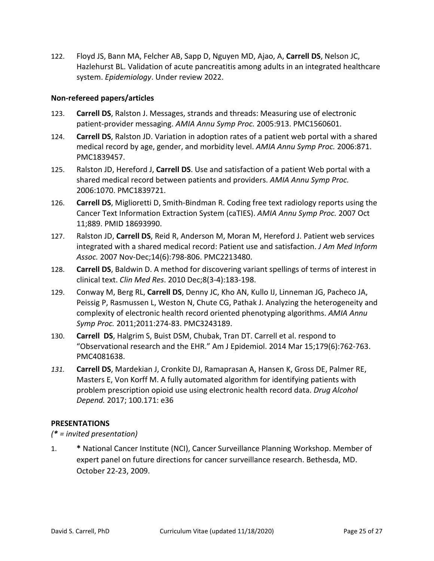122. Floyd JS, Bann MA, Felcher AB, Sapp D, Nguyen MD, Ajao, A, **Carrell DS**, Nelson JC, Hazlehurst BL. Validation of acute pancreatitis among adults in an integrated healthcare system. *Epidemiology*. Under review 2022.

### **Non-refereed papers/articles**

- 123. **Carrell DS**, Ralston J. Messages, strands and threads: Measuring use of electronic patient-provider messaging. *AMIA Annu Symp Proc.* 2005:913. PMC1560601.
- 124. **Carrell DS**, Ralston JD. Variation in adoption rates of a patient web portal with a shared medical record by age, gender, and morbidity level. *AMIA Annu Symp Proc.* 2006:871. PMC1839457.
- 125. Ralston JD, Hereford J, **Carrell DS**. Use and satisfaction of a patient Web portal with a shared medical record between patients and providers. *AMIA Annu Symp Proc.* 2006:1070. PMC1839721.
- 126. **Carrell DS**, Miglioretti D, Smith-Bindman R. Coding free text radiology reports using the Cancer Text Information Extraction System (caTIES). *AMIA Annu Symp Proc.* 2007 Oct 11;889. PMID 18693990.
- 127. Ralston JD, **Carrell DS**, Reid R, Anderson M, Moran M, Hereford J. Patient web services integrated with a shared medical record: Patient use and satisfaction. *J Am Med Inform Assoc.* 2007 Nov-Dec;14(6):798-806. PMC2213480.
- 128. **Carrell DS**, Baldwin D. A method for discovering variant spellings of terms of interest in clinical text. *Clin Med Res*. 2010 Dec;8(3-4):183-198.
- 129. Conway M, Berg RL, **Carrell DS**, Denny JC, Kho AN, Kullo IJ, Linneman JG, Pacheco JA, Peissig P, Rasmussen L, Weston N, Chute CG, Pathak J. Analyzing the heterogeneity and complexity of electronic health record oriented phenotyping algorithms. *AMIA Annu Symp Proc.* 2011;2011:274-83. PMC3243189.
- 130. **Carrell DS**, Halgrim S, Buist DSM, Chubak, Tran DT. Carrell et al. respond to "Observational research and the EHR." Am J Epidemiol. 2014 Mar 15;179(6):762-763. PMC4081638.
- *131.* **Carrell DS**, Mardekian J, Cronkite DJ, Ramaprasan A, Hansen K, Gross DE, Palmer RE, Masters E, Von Korff M. A fully automated algorithm for identifying patients with problem prescription opioid use using electronic health record data. *Drug Alcohol Depend.* 2017; 100.171: e36

# **PRESENTATIONS**

# *(\* = invited presentation)*

1. **\*** National Cancer Institute (NCI), Cancer Surveillance Planning Workshop. Member of expert panel on future directions for cancer surveillance research. Bethesda, MD. October 22-23, 2009.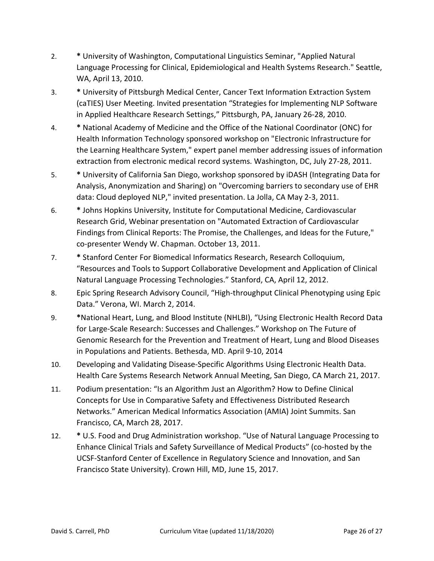- 2. **\*** University of Washington, Computational Linguistics Seminar, "Applied Natural Language Processing for Clinical, Epidemiological and Health Systems Research." Seattle, WA, April 13, 2010.
- 3. **\*** University of Pittsburgh Medical Center, Cancer Text Information Extraction System (caTIES) User Meeting. Invited presentation "Strategies for Implementing NLP Software in Applied Healthcare Research Settings," Pittsburgh, PA, January 26-28, 2010.
- 4. **\*** National Academy of Medicine and the Office of the National Coordinator (ONC) for Health Information Technology sponsored workshop on "Electronic Infrastructure for the Learning Healthcare System," expert panel member addressing issues of information extraction from electronic medical record systems. Washington, DC, July 27-28, 2011.
- 5. **\*** University of California San Diego, workshop sponsored by iDASH (Integrating Data for Analysis, Anonymization and Sharing) on "Overcoming barriers to secondary use of EHR data: Cloud deployed NLP," invited presentation. La Jolla, CA May 2-3, 2011.
- 6. **\*** Johns Hopkins University, Institute for Computational Medicine, Cardiovascular Research Grid, Webinar presentation on "Automated Extraction of Cardiovascular Findings from Clinical Reports: The Promise, the Challenges, and Ideas for the Future," co-presenter Wendy W. Chapman. October 13, 2011.
- 7. **\*** Stanford Center For Biomedical Informatics Research, Research Colloquium, "Resources and Tools to Support Collaborative Development and Application of Clinical Natural Language Processing Technologies." Stanford, CA, April 12, 2012.
- 8. Epic Spring Research Advisory Council, "High-throughput Clinical Phenotyping using Epic Data." Verona, WI. March 2, 2014.
- 9. **\***National Heart, Lung, and Blood Institute (NHLBI), "Using Electronic Health Record Data for Large-Scale Research: Successes and Challenges." Workshop on The Future of Genomic Research for the Prevention and Treatment of Heart, Lung and Blood Diseases in Populations and Patients. Bethesda, MD. April 9-10, 2014
- 10. Developing and Validating Disease-Specific Algorithms Using Electronic Health Data. Health Care Systems Research Network Annual Meeting, San Diego, CA March 21, 2017.
- 11. Podium presentation: "Is an Algorithm Just an Algorithm? How to Define Clinical Concepts for Use in Comparative Safety and Effectiveness Distributed Research Networks." American Medical Informatics Association (AMIA) Joint Summits. San Francisco, CA, March 28, 2017.
- 12. **\*** U.S. Food and Drug Administration workshop. "Use of Natural Language Processing to Enhance Clinical Trials and Safety Surveillance of Medical Products" (co-hosted by the UCSF-Stanford Center of Excellence in Regulatory Science and Innovation, and San Francisco State University). Crown Hill, MD, June 15, 2017.